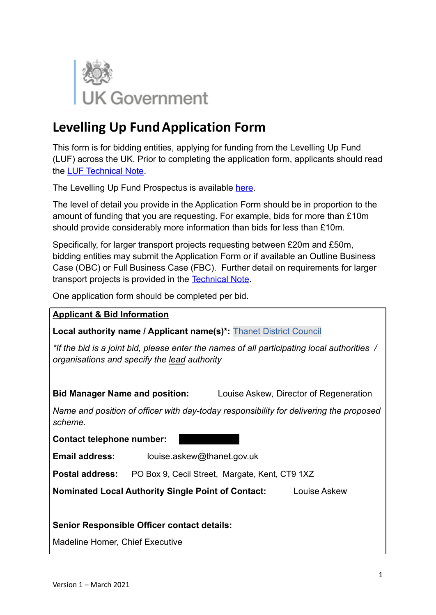

# **Levelling Up FundApplication Form**

This form is for bidding entities, applying for funding from the Levelling Up Fund (LUF) across the UK. Prior to completing the application form, applicants should read the [LUF Technical Note.](https://www.gov.uk/government/publications/levelling-up-fund-additional-documents)

The Levelling Up Fund Prospectus is available [here](https://www.gov.uk/government/publications/levelling-up-fund-prospectus).

The level of detail you provide in the Application Form should be in proportion to the amount of funding that you are requesting. For example, bids for more than £10m should provide considerably more information than bids for less than £10m.

Specifically, for larger transport projects requesting between £20m and £50m, bidding entities may submit the Application Form or if available an Outline Business Case (OBC) or Full Business Case (FBC). Further detail on requirements for larger transport projects is provided in the [Technical Note.](https://www.gov.uk/government/publications/levelling-up-fund-additional-documents)

One application form should be completed per bid.

#### **Applicant & Bid Information**

**Local authority name / Applicant name(s)\*:** Thanet District Council

*\*If the bid is a joint bid, please enter the names of all participating local authorities / organisations and specify the lead authority*

**Bid Manager Name and position:** Louise Askew, Director of Regeneration

*Name and position of officer with day-today responsibility for delivering the proposed scheme.*

**Contact telephone number:** 

**Email address:** louise.askew@thanet.gov.uk

**Postal address:** PO Box 9, Cecil Street, Margate, Kent, CT9 1XZ

**Nominated Local Authority Single Point of Contact:** Louise Askew

#### **Senior Responsible Officer contact details:**

Madeline Homer, Chief Executive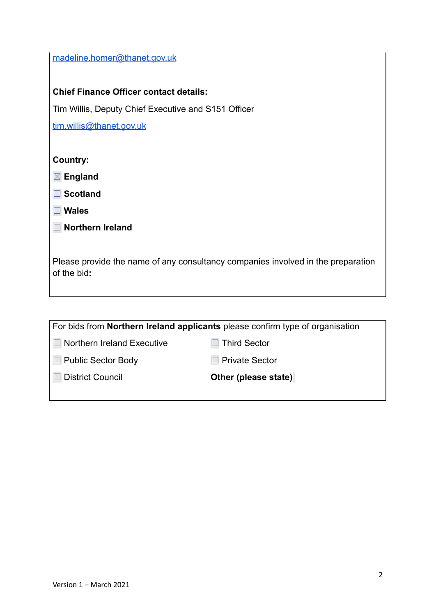| madeline.homer@thanet.gov.uk |
|------------------------------|
|                              |

#### **Chief Finance Officer contact details:**

Tim Willis, Deputy Chief Executive and S151 Officer

[tim.willis@thanet.gov.uk](mailto:tim.willis@thanet.gov.uk)

**Country:**

☒ **England**

☐ **Scotland**

☐ **Wales**

| $\Box$ Northern Ireland |  |  |  |
|-------------------------|--|--|--|
|-------------------------|--|--|--|

Please provide the name of any consultancy companies involved in the preparation of the bid**:**

| For bids from <b>Northern Ireland applicants</b> please confirm type of organisation |                       |  |
|--------------------------------------------------------------------------------------|-----------------------|--|
| Northern Ireland Executive                                                           | Third Sector          |  |
| $\Box$ Public Sector Body                                                            | $\Box$ Private Sector |  |
| <b>District Council</b>                                                              | Other (please state)  |  |
|                                                                                      |                       |  |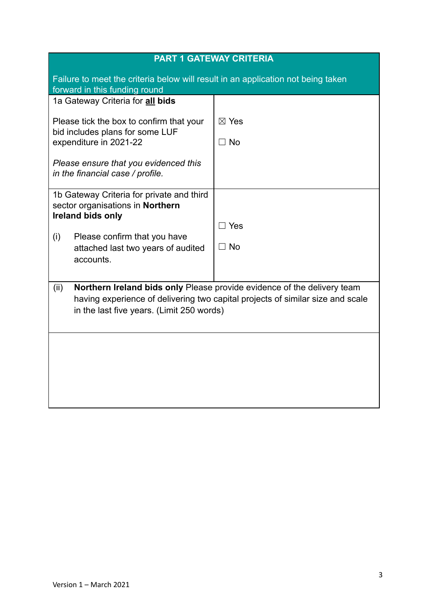| <b>PART 1 GATEWAY CRITERIA</b>                                                                                                                                                                                 |                              |  |
|----------------------------------------------------------------------------------------------------------------------------------------------------------------------------------------------------------------|------------------------------|--|
| Failure to meet the criteria below will result in an application not being taken<br>forward in this funding round                                                                                              |                              |  |
| 1a Gateway Criteria for all bids                                                                                                                                                                               |                              |  |
| Please tick the box to confirm that your<br>bid includes plans for some LUF<br>expenditure in 2021-22                                                                                                          | $\boxtimes$ Yes<br>$\Box$ No |  |
| Please ensure that you evidenced this<br>in the financial case / profile.                                                                                                                                      |                              |  |
| 1b Gateway Criteria for private and third<br>sector organisations in Northern<br>Ireland bids only<br>Please confirm that you have<br>(i)<br>attached last two years of audited<br>accounts.                   | $\Box$ Yes<br>$\Box$ No      |  |
| Northern Ireland bids only Please provide evidence of the delivery team<br>(ii)<br>having experience of delivering two capital projects of similar size and scale<br>in the last five years. (Limit 250 words) |                              |  |
|                                                                                                                                                                                                                |                              |  |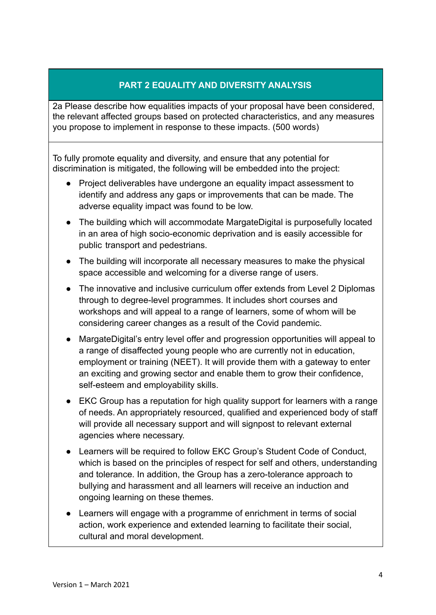## **PART 2 EQUALITY AND DIVERSITY ANALYSIS**

2a Please describe how equalities impacts of your proposal have been considered, the relevant affected groups based on protected characteristics, and any measures you propose to implement in response to these impacts. (500 words)

To fully promote equality and diversity, and ensure that any potential for discrimination is mitigated, the following will be embedded into the project:

- Project deliverables have undergone an equality impact assessment to identify and address any gaps or improvements that can be made. The adverse equality impact was found to be low.
- The building which will accommodate MargateDigital is purposefully located in an area of high socio-economic deprivation and is easily accessible for public transport and pedestrians.
- The building will incorporate all necessary measures to make the physical space accessible and welcoming for a diverse range of users.
- The innovative and inclusive curriculum offer extends from Level 2 Diplomas through to degree-level programmes. It includes short courses and workshops and will appeal to a range of learners, some of whom will be considering career changes as a result of the Covid pandemic.
- MargateDigital's entry level offer and progression opportunities will appeal to a range of disaffected young people who are currently not in education, employment or training (NEET). It will provide them with a gateway to enter an exciting and growing sector and enable them to grow their confidence, self-esteem and employability skills.
- EKC Group has a reputation for high quality support for learners with a range of needs. An appropriately resourced, qualified and experienced body of staff will provide all necessary support and will signpost to relevant external agencies where necessary.
- Learners will be required to follow EKC Group's Student Code of Conduct, which is based on the principles of respect for self and others, understanding and tolerance. In addition, the Group has a zero-tolerance approach to bullying and harassment and all learners will receive an induction and ongoing learning on these themes.
- Learners will engage with a programme of enrichment in terms of social action, work experience and extended learning to facilitate their social, cultural and moral development.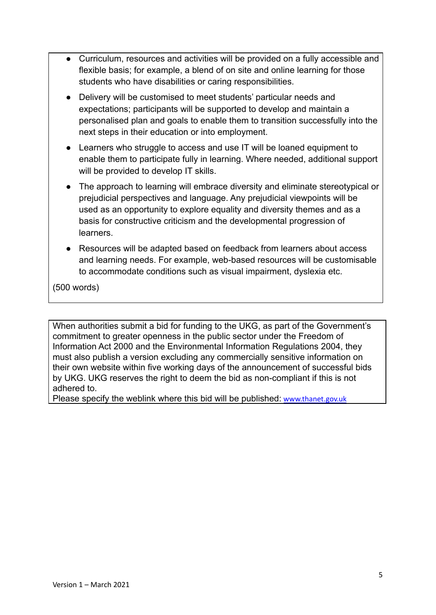- Curriculum, resources and activities will be provided on a fully accessible and flexible basis; for example, a blend of on site and online learning for those students who have disabilities or caring responsibilities.
- Delivery will be customised to meet students' particular needs and expectations; participants will be supported to develop and maintain a personalised plan and goals to enable them to transition successfully into the next steps in their education or into employment.
- Learners who struggle to access and use IT will be loaned equipment to enable them to participate fully in learning. Where needed, additional support will be provided to develop IT skills.
- The approach to learning will embrace diversity and eliminate stereotypical or prejudicial perspectives and language. Any prejudicial viewpoints will be used as an opportunity to explore equality and diversity themes and as a basis for constructive criticism and the developmental progression of learners.
- Resources will be adapted based on feedback from learners about access and learning needs. For example, web-based resources will be customisable to accommodate conditions such as visual impairment, dyslexia etc.

(500 words)

When authorities submit a bid for funding to the UKG, as part of the Government's commitment to greater openness in the public sector under the Freedom of Information Act 2000 and the Environmental Information Regulations 2004, they must also publish a version excluding any commercially sensitive information on their own website within five working days of the announcement of successful bids by UKG. UKG reserves the right to deem the bid as non-compliant if this is not adhered to.

Please specify the weblink where this bid will be published: [www.thanet.gov.uk](http://www.thanet.gov.uk)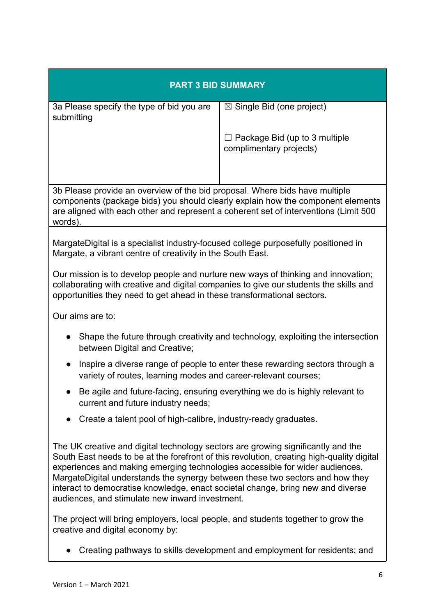| <b>PART 3 BID SUMMARY</b>                                                                                                                                                                                                                                                                                                                                                                                                                                                            |                                                                 |  |
|--------------------------------------------------------------------------------------------------------------------------------------------------------------------------------------------------------------------------------------------------------------------------------------------------------------------------------------------------------------------------------------------------------------------------------------------------------------------------------------|-----------------------------------------------------------------|--|
| 3a Please specify the type of bid you are<br>submitting                                                                                                                                                                                                                                                                                                                                                                                                                              | $\boxtimes$ Single Bid (one project)                            |  |
|                                                                                                                                                                                                                                                                                                                                                                                                                                                                                      | $\Box$ Package Bid (up to 3 multiple<br>complimentary projects) |  |
| 3b Please provide an overview of the bid proposal. Where bids have multiple<br>components (package bids) you should clearly explain how the component elements<br>are aligned with each other and represent a coherent set of interventions (Limit 500)<br>words).                                                                                                                                                                                                                   |                                                                 |  |
| MargateDigital is a specialist industry-focused college purposefully positioned in<br>Margate, a vibrant centre of creativity in the South East.                                                                                                                                                                                                                                                                                                                                     |                                                                 |  |
| Our mission is to develop people and nurture new ways of thinking and innovation;<br>collaborating with creative and digital companies to give our students the skills and<br>opportunities they need to get ahead in these transformational sectors.                                                                                                                                                                                                                                |                                                                 |  |
| Our aims are to:                                                                                                                                                                                                                                                                                                                                                                                                                                                                     |                                                                 |  |
| Shape the future through creativity and technology, exploiting the intersection<br>$\bullet$<br>between Digital and Creative;                                                                                                                                                                                                                                                                                                                                                        |                                                                 |  |
| Inspire a diverse range of people to enter these rewarding sectors through a<br>$\bullet$<br>variety of routes, learning modes and career-relevant courses;                                                                                                                                                                                                                                                                                                                          |                                                                 |  |
| Be agile and future-facing, ensuring everything we do is highly relevant to<br>current and future industry needs;                                                                                                                                                                                                                                                                                                                                                                    |                                                                 |  |
| Create a talent pool of high-calibre, industry-ready graduates.<br>$\bullet$                                                                                                                                                                                                                                                                                                                                                                                                         |                                                                 |  |
| The UK creative and digital technology sectors are growing significantly and the<br>South East needs to be at the forefront of this revolution, creating high-quality digital<br>experiences and making emerging technologies accessible for wider audiences.<br>MargateDigital understands the synergy between these two sectors and how they<br>interact to democratise knowledge, enact societal change, bring new and diverse<br>audiences, and stimulate new inward investment. |                                                                 |  |

The project will bring employers, local people, and students together to grow the creative and digital economy by:

● Creating pathways to skills development and employment for residents; and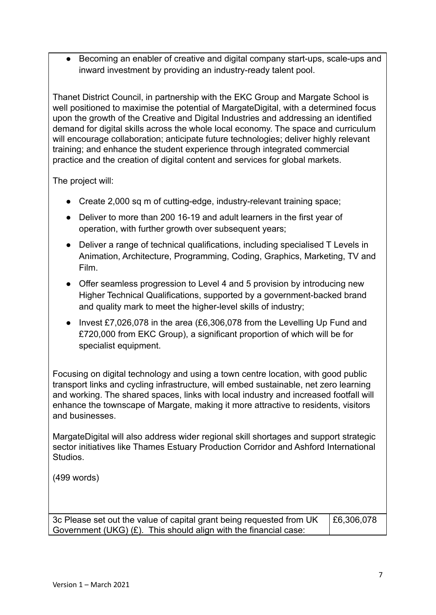Becoming an enabler of creative and digital company start-ups, scale-ups and inward investment by providing an industry-ready talent pool.

Thanet District Council, in partnership with the EKC Group and Margate School is well positioned to maximise the potential of MargateDigital, with a determined focus upon the growth of the Creative and Digital Industries and addressing an identified demand for digital skills across the whole local economy. The space and curriculum will encourage collaboration; anticipate future technologies; deliver highly relevant training; and enhance the student experience through integrated commercial practice and the creation of digital content and services for global markets.

The project will:

- Create 2,000 sq m of cutting-edge, industry-relevant training space;
- Deliver to more than 200 16-19 and adult learners in the first year of operation, with further growth over subsequent years;
- Deliver a range of technical qualifications, including specialised T Levels in Animation, Architecture, Programming, Coding, Graphics, Marketing, TV and Film.
- Offer seamless progression to Level 4 and 5 provision by introducing new Higher Technical Qualifications, supported by a government-backed brand and quality mark to meet the higher-level skills of industry;
- Invest £7,026,078 in the area (£6,306,078 from the Levelling Up Fund and £720,000 from EKC Group), a significant proportion of which will be for specialist equipment.

Focusing on digital technology and using a town centre location, with good public transport links and cycling infrastructure, will embed sustainable, net zero learning and working. The shared spaces, links with local industry and increased footfall will enhance the townscape of Margate, making it more attractive to residents, visitors and businesses.

MargateDigital will also address wider regional skill shortages and support strategic sector initiatives like Thames Estuary Production Corridor and Ashford International Studios.

(499 words)

3c Please set out the value of capital grant being requested from UK Government (UKG) (£). This should align with the financial case: £6,306,078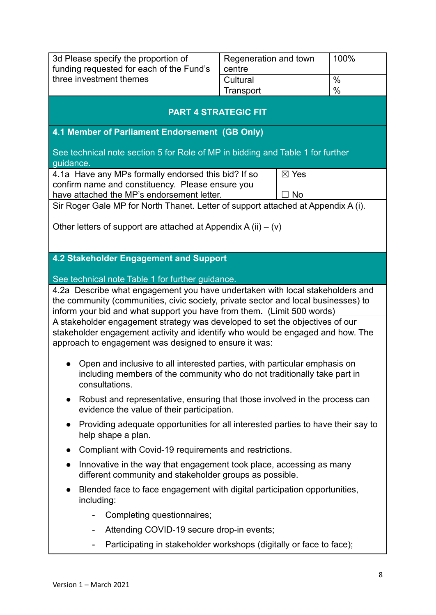| 3d Please specify the proportion of<br>funding requested for each of the Fund's<br>three investment themes                                                              | Regeneration and town<br>centre                                                                                                                        | 100%         |  |  |  |
|-------------------------------------------------------------------------------------------------------------------------------------------------------------------------|--------------------------------------------------------------------------------------------------------------------------------------------------------|--------------|--|--|--|
|                                                                                                                                                                         | Cultural<br>Transport                                                                                                                                  | $\%$<br>$\%$ |  |  |  |
|                                                                                                                                                                         | <b>PART 4 STRATEGIC FIT</b>                                                                                                                            |              |  |  |  |
| 4.1 Member of Parliament Endorsement (GB Only)                                                                                                                          |                                                                                                                                                        |              |  |  |  |
| See technical note section 5 for Role of MP in bidding and Table 1 for further<br>guidance.                                                                             |                                                                                                                                                        |              |  |  |  |
| 4.1a Have any MPs formally endorsed this bid? If so                                                                                                                     | ⊠ Yes                                                                                                                                                  |              |  |  |  |
| confirm name and constituency. Please ensure you<br>have attached the MP's endorsement letter.                                                                          | <b>No</b>                                                                                                                                              |              |  |  |  |
| Sir Roger Gale MP for North Thanet. Letter of support attached at Appendix A (i).                                                                                       |                                                                                                                                                        |              |  |  |  |
|                                                                                                                                                                         |                                                                                                                                                        |              |  |  |  |
| Other letters of support are attached at Appendix A (ii) $-$ (v)                                                                                                        |                                                                                                                                                        |              |  |  |  |
|                                                                                                                                                                         |                                                                                                                                                        |              |  |  |  |
| 4.2 Stakeholder Engagement and Support                                                                                                                                  |                                                                                                                                                        |              |  |  |  |
| See technical note Table 1 for further guidance.                                                                                                                        |                                                                                                                                                        |              |  |  |  |
| 4.2a Describe what engagement you have undertaken with local stakeholders and                                                                                           |                                                                                                                                                        |              |  |  |  |
| the community (communities, civic society, private sector and local businesses) to                                                                                      |                                                                                                                                                        |              |  |  |  |
|                                                                                                                                                                         | inform your bid and what support you have from them. (Limit 500 words)<br>A stakeholder engagement strategy was developed to set the objectives of our |              |  |  |  |
| stakeholder engagement activity and identify who would be engaged and how. The                                                                                          |                                                                                                                                                        |              |  |  |  |
| approach to engagement was designed to ensure it was:                                                                                                                   |                                                                                                                                                        |              |  |  |  |
| Open and inclusive to all interested parties, with particular emphasis on<br>including members of the community who do not traditionally take part in<br>consultations. |                                                                                                                                                        |              |  |  |  |
| Robust and representative, ensuring that those involved in the process can<br>evidence the value of their participation.                                                |                                                                                                                                                        |              |  |  |  |
| Providing adequate opportunities for all interested parties to have their say to<br>$\bullet$<br>help shape a plan.                                                     |                                                                                                                                                        |              |  |  |  |
| Compliant with Covid-19 requirements and restrictions.<br>$\bullet$                                                                                                     |                                                                                                                                                        |              |  |  |  |
| Innovative in the way that engagement took place, accessing as many<br>$\bullet$                                                                                        |                                                                                                                                                        |              |  |  |  |
|                                                                                                                                                                         | different community and stakeholder groups as possible.                                                                                                |              |  |  |  |
| Blended face to face engagement with digital participation opportunities,<br>$\bullet$<br>including:                                                                    |                                                                                                                                                        |              |  |  |  |
| Completing questionnaires;<br>$\blacksquare$                                                                                                                            |                                                                                                                                                        |              |  |  |  |
| Attending COVID-19 secure drop-in events;<br>$\blacksquare$                                                                                                             |                                                                                                                                                        |              |  |  |  |
| Participating in stakeholder workshops (digitally or face to face);<br>$\blacksquare$                                                                                   |                                                                                                                                                        |              |  |  |  |
|                                                                                                                                                                         |                                                                                                                                                        |              |  |  |  |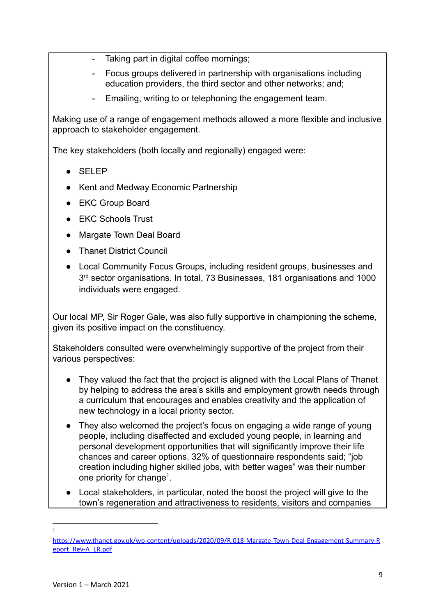- Taking part in digital coffee mornings;
- Focus groups delivered in partnership with organisations including education providers, the third sector and other networks; and;
- Emailing, writing to or telephoning the engagement team.

Making use of a range of engagement methods allowed a more flexible and inclusive approach to stakeholder engagement.

The key stakeholders (both locally and regionally) engaged were:

- SELEP
- Kent and Medway Economic Partnership
- EKC Group Board
- EKC Schools Trust
- Margate Town Deal Board
- Thanet District Council
- Local Community Focus Groups, including resident groups, businesses and 3<sup>rd</sup> sector organisations. In total, 73 Businesses, 181 organisations and 1000 individuals were engaged.

Our local MP, Sir Roger Gale, was also fully supportive in championing the scheme, given its positive impact on the constituency.

Stakeholders consulted were overwhelmingly supportive of the project from their various perspectives:

- They valued the fact that the project is aligned with the Local Plans of Thanet by helping to address the area's skills and employment growth needs through a curriculum that encourages and enables creativity and the application of new technology in a local priority sector.
- They also welcomed the project's focus on engaging a wide range of young people, including disaffected and excluded young people, in learning and personal development opportunities that will significantly improve their life chances and career options. 32% of questionnaire respondents said; "job creation including higher skilled jobs, with better wages" was their number one priority for change<sup>1</sup>.
- Local stakeholders, in particular, noted the boost the project will give to the town's regeneration and attractiveness to residents, visitors and companies

<sup>1</sup>

[https://www.thanet.gov.uk/wp-content/uploads/2020/09/R.018-Margate-Town-Deal-Engagement-Summary-R](https://www.thanet.gov.uk/wp-content/uploads/2020/09/R.018-Margate-Town-Deal-Engagement-Summary-Report_Rev-A_LR.pdf) [eport\\_Rev-A\\_LR.pdf](https://www.thanet.gov.uk/wp-content/uploads/2020/09/R.018-Margate-Town-Deal-Engagement-Summary-Report_Rev-A_LR.pdf)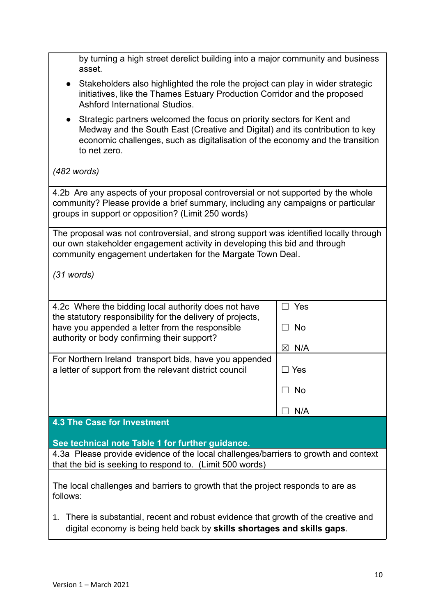| by turning a high street derelict building into a major community and business                                                                                                                                                                                       |                                              |  |
|----------------------------------------------------------------------------------------------------------------------------------------------------------------------------------------------------------------------------------------------------------------------|----------------------------------------------|--|
| asset.<br>Stakeholders also highlighted the role the project can play in wider strategic<br>initiatives, like the Thames Estuary Production Corridor and the proposed<br>Ashford International Studios.                                                              |                                              |  |
| Strategic partners welcomed the focus on priority sectors for Kent and<br>$\bullet$<br>Medway and the South East (Creative and Digital) and its contribution to key<br>economic challenges, such as digitalisation of the economy and the transition<br>to net zero. |                                              |  |
| $(482$ words)                                                                                                                                                                                                                                                        |                                              |  |
| 4.2b Are any aspects of your proposal controversial or not supported by the whole<br>community? Please provide a brief summary, including any campaigns or particular<br>groups in support or opposition? (Limit 250 words)                                          |                                              |  |
| The proposal was not controversial, and strong support was identified locally through<br>our own stakeholder engagement activity in developing this bid and through<br>community engagement undertaken for the Margate Town Deal.                                    |                                              |  |
| $(31$ words)                                                                                                                                                                                                                                                         |                                              |  |
| 4.2c Where the bidding local authority does not have<br>the statutory responsibility for the delivery of projects,<br>have you appended a letter from the responsible<br>authority or body confirming their support?                                                 | Yes<br>$\overline{\phantom{a}}$<br><b>No</b> |  |
| For Northern Ireland transport bids, have you appended<br>a letter of support from the relevant district council                                                                                                                                                     | $\boxtimes$ N/A<br>∃ Yes                     |  |
|                                                                                                                                                                                                                                                                      | No.                                          |  |
|                                                                                                                                                                                                                                                                      | N/A                                          |  |
| <b>4.3 The Case for Investment</b>                                                                                                                                                                                                                                   |                                              |  |
| See technical note Table 1 for further guidance.                                                                                                                                                                                                                     |                                              |  |
| 4.3a Please provide evidence of the local challenges/barriers to growth and context<br>that the bid is seeking to respond to. (Limit 500 words)                                                                                                                      |                                              |  |
| The local challenges and barriers to growth that the project responds to are as<br>follows:                                                                                                                                                                          |                                              |  |
| There is substantial, recent and robust evidence that growth of the creative and<br>1.<br>digital economy is being held back by skills shortages and skills gaps.                                                                                                    |                                              |  |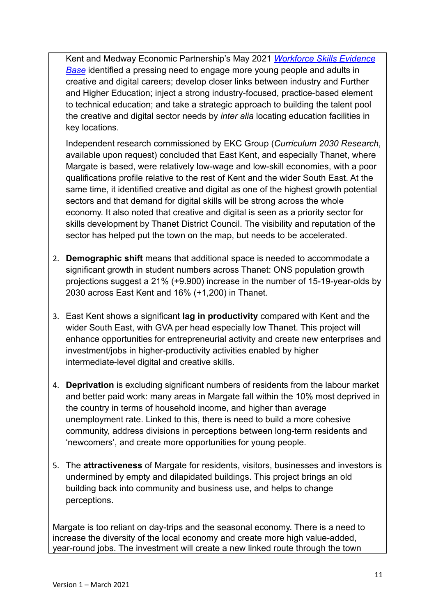Kent and Medway Economic Partnership's May 2021 *Workforce [Skills Evidence](http://kmep.org.uk/documents/Workforce_Skills_Evidence_Base.pdf) [Base](http://kmep.org.uk/documents/Workforce_Skills_Evidence_Base.pdf)* identified a pressing need to engage more young people and adults in creative and digital careers; develop closer links between industry and Further and Higher Education; inject a strong industry-focused, practice-based element to technical education; and take a strategic approach to building the talent pool the creative and digital sector needs by *inter alia* locating education facilities in key locations.

Independent research commissioned by EKC Group (*Curriculum 2030 Research*, available upon request) concluded that East Kent, and especially Thanet, where Margate is based, were relatively low-wage and low-skill economies, with a poor qualifications profile relative to the rest of Kent and the wider South East. At the same time, it identified creative and digital as one of the highest growth potential sectors and that demand for digital skills will be strong across the whole economy. It also noted that creative and digital is seen as a priority sector for skills development by Thanet District Council. The visibility and reputation of the sector has helped put the town on the map, but needs to be accelerated.

- 2. **Demographic shift** means that additional space is needed to accommodate a significant growth in student numbers across Thanet: ONS population growth projections suggest a 21% (+9.900) increase in the number of 15-19-year-olds by 2030 across East Kent and 16% (+1,200) in Thanet.
- 3. East Kent shows a significant **lag in productivity** compared with Kent and the wider South East, with GVA per head especially low Thanet. This project will enhance opportunities for entrepreneurial activity and create new enterprises and investment/jobs in higher-productivity activities enabled by higher intermediate-level digital and creative skills.
- 4. **Deprivation** is excluding significant numbers of residents from the labour market and better paid work: many areas in Margate fall within the 10% most deprived in the country in terms of household income, and higher than average unemployment rate. Linked to this, there is need to build a more cohesive community, address divisions in perceptions between long-term residents and 'newcomers', and create more opportunities for young people.
- 5. The **attractiveness** of Margate for residents, visitors, businesses and investors is undermined by empty and dilapidated buildings. This project brings an old building back into community and business use, and helps to change perceptions.

Margate is too reliant on day-trips and the seasonal economy. There is a need to increase the diversity of the local economy and create more high value-added, year-round jobs. The investment will create a new linked route through the town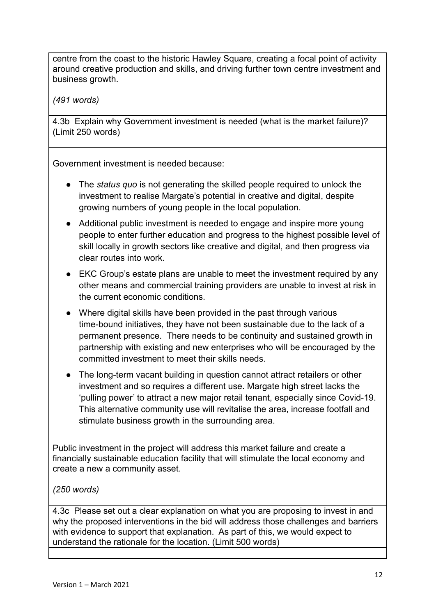centre from the coast to the historic Hawley Square, creating a focal point of activity around creative production and skills, and driving further town centre investment and business growth.

*(491 words)*

4.3b Explain why Government investment is needed (what is the market failure)? (Limit 250 words)

Government investment is needed because:

- The *status quo* is not generating the skilled people required to unlock the investment to realise Margate's potential in creative and digital, despite growing numbers of young people in the local population.
- Additional public investment is needed to engage and inspire more young people to enter further education and progress to the highest possible level of skill locally in growth sectors like creative and digital, and then progress via clear routes into work.
- EKC Group's estate plans are unable to meet the investment required by any other means and commercial training providers are unable to invest at risk in the current economic conditions.
- Where digital skills have been provided in the past through various time-bound initiatives, they have not been sustainable due to the lack of a permanent presence. There needs to be continuity and sustained growth in partnership with existing and new enterprises who will be encouraged by the committed investment to meet their skills needs.
- The long-term vacant building in question cannot attract retailers or other investment and so requires a different use. Margate high street lacks the 'pulling power' to attract a new major retail tenant, especially since Covid-19. This alternative community use will revitalise the area, increase footfall and stimulate business growth in the surrounding area.

Public investment in the project will address this market failure and create a financially sustainable education facility that will stimulate the local economy and create a new a community asset.

*(250 words)*

4.3c Please set out a clear explanation on what you are proposing to invest in and why the proposed interventions in the bid will address those challenges and barriers with evidence to support that explanation. As part of this, we would expect to understand the rationale for the location. (Limit 500 words)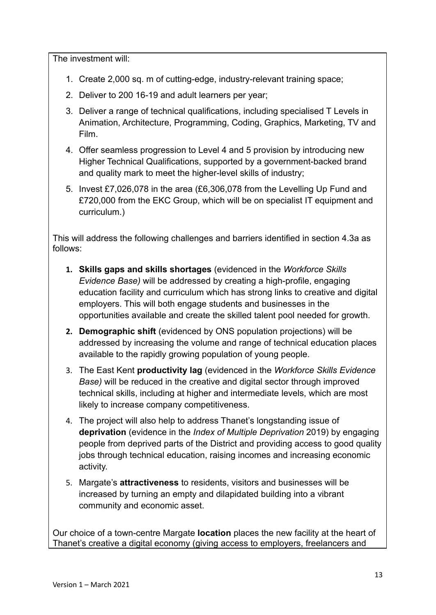The investment will:

- 1. Create 2,000 sq. m of cutting-edge, industry-relevant training space;
- 2. Deliver to 200 16-19 and adult learners per year;
- 3. Deliver a range of technical qualifications, including specialised T Levels in Animation, Architecture, Programming, Coding, Graphics, Marketing, TV and Film.
- 4. Offer seamless progression to Level 4 and 5 provision by introducing new Higher Technical Qualifications, supported by a government-backed brand and quality mark to meet the higher-level skills of industry;
- 5. Invest £7,026,078 in the area (£6,306,078 from the Levelling Up Fund and £720,000 from the EKC Group, which will be on specialist IT equipment and curriculum.)

This will address the following challenges and barriers identified in section 4.3a as follows:

- **1. Skills gaps and skills shortages** (evidenced in the *Workforce Skills Evidence Base)* will be addressed by creating a high-profile, engaging education facility and curriculum which has strong links to creative and digital employers. This will both engage students and businesses in the opportunities available and create the skilled talent pool needed for growth.
- **2. Demographic shift** (evidenced by ONS population projections) will be addressed by increasing the volume and range of technical education places available to the rapidly growing population of young people.
- 3. The East Kent **productivity lag** (evidenced in the *Workforce Skills Evidence Base)* will be reduced in the creative and digital sector through improved technical skills, including at higher and intermediate levels, which are most likely to increase company competitiveness.
- 4. The project will also help to address Thanet's longstanding issue of **deprivation** (evidence in the *Index of Multiple Deprivation* 2019) by engaging people from deprived parts of the District and providing access to good quality jobs through technical education, raising incomes and increasing economic activity.
- 5. Margate's **attractiveness** to residents, visitors and businesses will be increased by turning an empty and dilapidated building into a vibrant community and economic asset.

Our choice of a town-centre Margate **location** places the new facility at the heart of Thanet's creative a digital economy (giving access to employers, freelancers and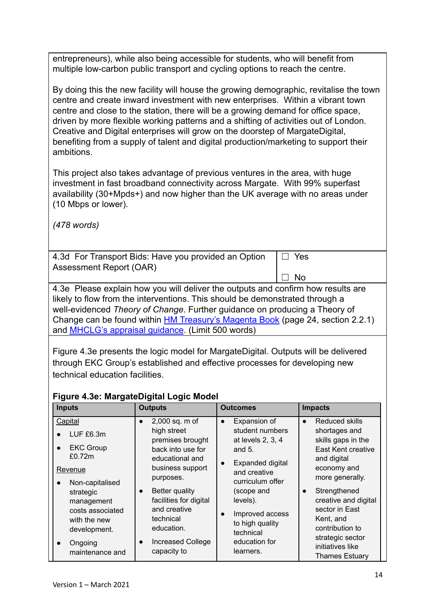entrepreneurs), while also being accessible for students, who will benefit from multiple low-carbon public transport and cycling options to reach the centre.

By doing this the new facility will house the growing demographic, revitalise the town centre and create inward investment with new enterprises. Within a vibrant town centre and close to the station, there will be a growing demand for office space, driven by more flexible working patterns and a shifting of activities out of London. Creative and Digital enterprises will grow on the doorstep of MargateDigital, benefiting from a supply of talent and digital production/marketing to support their ambitions.

This project also takes advantage of previous ventures in the area, with huge investment in fast broadband connectivity across Margate. With 99% superfast availability (30+Mpds+) and now higher than the UK average with no areas under (10 Mbps or lower).

*(478 words)*

4.3d For Transport Bids: Have you provided an Option Assessment Report (OAR) ☐ Yes

4.3e Please explain how you will deliver the outputs and confirm how results are likely to flow from the interventions. This should be demonstrated through a well-evidenced *Theory of Change*. Further guidance on producing a Theory of Change can be found within [HM Treasury's Magenta Book](https://assets.publishing.service.gov.uk/government/uploads/system/uploads/attachment_data/file/879438/HMT_Magenta_Book.pdf) (page 24, section 2.2.1) and [MHCLG's appraisal guidance](https://www.gov.uk/government/publications/department-for-communities-and-local-government-appraisal-guide). (Limit 500 words)

☐ No

Figure 4.3e presents the logic model for MargateDigital. Outputs will be delivered through EKC Group's established and effective processes for developing new technical education facilities.

## **Figure 4.3e: MargateDigital Logic Model**

| <b>Inputs</b>                                                   | <b>Outputs</b>                                                                            | <b>Outcomes</b>                                                                                   | <b>Impacts</b>                                                                             |
|-----------------------------------------------------------------|-------------------------------------------------------------------------------------------|---------------------------------------------------------------------------------------------------|--------------------------------------------------------------------------------------------|
| Capital<br>LUF £6.3m<br><b>EKC Group</b><br>$\bullet$<br>£0.72m | 2,000 sq. m of<br>high street<br>premises brought<br>back into use for<br>educational and | Expansion of<br>$\bullet$<br>student numbers<br>at levels 2, 3, 4<br>and $5.$<br>Expanded digital | Reduced skills<br>shortages and<br>skills gaps in the<br>East Kent creative<br>and digital |
| Revenue<br>Non-capitalised<br>$\bullet$                         | business support<br>purposes.                                                             | and creative<br>curriculum offer                                                                  | economy and<br>more generally.                                                             |
| strategic<br>management                                         | <b>Better quality</b><br>$\bullet$<br>facilities for digital<br>and creative              | (scope and<br>levels).                                                                            | Strengthened<br>$\bullet$<br>creative and digital<br>sector in East                        |
| costs associated<br>with the new<br>development.                | technical<br>education.                                                                   | Improved access<br>to high quality<br>technical                                                   | Kent, and<br>contribution to                                                               |
| Ongoing<br>maintenance and                                      | Increased College<br>$\bullet$<br>capacity to                                             | education for<br>learners.                                                                        | strategic sector<br>initiatives like<br><b>Thames Estuary</b>                              |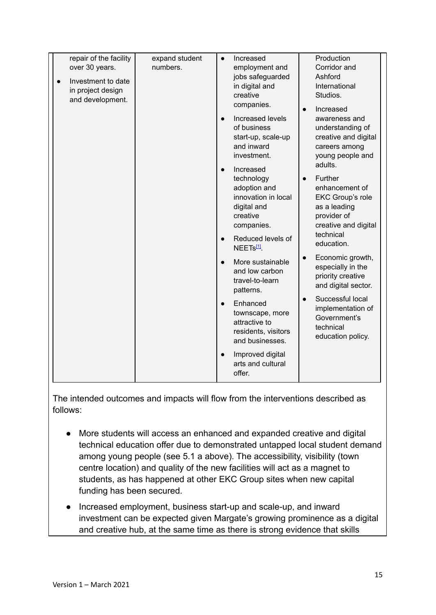|                                          |                            |                                               | Production                            |
|------------------------------------------|----------------------------|-----------------------------------------------|---------------------------------------|
| repair of the facility<br>over 30 years. | expand student<br>numbers. | Increased<br>$\bullet$<br>employment and      | Corridor and                          |
|                                          |                            | jobs safeguarded                              | Ashford                               |
| Investment to date<br>in project design  |                            | in digital and                                | International                         |
| and development.                         |                            | creative                                      | Studios.                              |
|                                          |                            | companies.                                    | Increased<br>$\bullet$                |
|                                          |                            | Increased levels<br>$\bullet$                 | awareness and                         |
|                                          |                            | of business                                   | understanding of                      |
|                                          |                            | start-up, scale-up<br>and inward              | creative and digital<br>careers among |
|                                          |                            | investment.                                   | young people and                      |
|                                          |                            | Increased<br>$\bullet$                        | adults.                               |
|                                          |                            | technology                                    | Further<br>$\bullet$                  |
|                                          |                            | adoption and                                  | enhancement of                        |
|                                          |                            | innovation in local                           | <b>EKC Group's role</b>               |
|                                          |                            | digital and<br>creative                       | as a leading<br>provider of           |
|                                          |                            | companies.                                    | creative and digital                  |
|                                          |                            | Reduced levels of                             | technical                             |
|                                          |                            | $\bullet$<br>NEET <sub>S<sup>[1]</sup>.</sub> | education.                            |
|                                          |                            | More sustainable                              | Economic growth,<br>$\bullet$         |
|                                          |                            | $\bullet$<br>and low carbon                   | especially in the                     |
|                                          |                            | travel-to-learn                               | priority creative                     |
|                                          |                            | patterns.                                     | and digital sector.                   |
|                                          |                            | Enhanced                                      | Successful local                      |
|                                          |                            | townscape, more                               | implementation of<br>Government's     |
|                                          |                            | attractive to                                 | technical                             |
|                                          |                            | residents, visitors<br>and businesses.        | education policy.                     |
|                                          |                            |                                               |                                       |
|                                          |                            | Improved digital<br>arts and cultural         |                                       |
|                                          |                            | offer.                                        |                                       |
|                                          |                            |                                               |                                       |

The intended outcomes and impacts will flow from the interventions described as follows:

- More students will access an enhanced and expanded creative and digital technical education offer due to demonstrated untapped local student demand among young people (see 5.1 a above). The accessibility, visibility (town centre location) and quality of the new facilities will act as a magnet to students, as has happened at other EKC Group sites when new capital funding has been secured.
- Increased employment, business start-up and scale-up, and inward investment can be expected given Margate's growing prominence as a digital and creative hub, at the same time as there is strong evidence that skills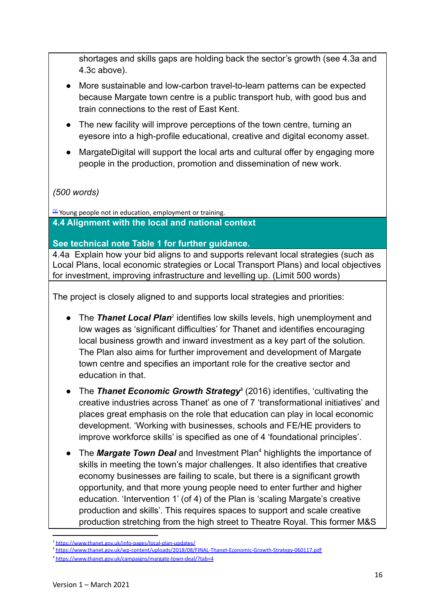shortages and skills gaps are holding back the sector's growth (see 4.3a and 4.3c above).

- More sustainable and low-carbon travel-to-learn patterns can be expected because Margate town centre is a public transport hub, with good bus and train connections to the rest of East Kent.
- The new facility will improve perceptions of the town centre, turning an eyesore into a high-profile educational, creative and digital economy asset.
- MargateDigital will support the local arts and cultural offer by engaging more people in the production, promotion and dissemination of new work.

#### *(500 words)*

[\[1\]](https://ukc-word-edit.officeapps.live.com/we/wordeditorframe.aspx?ui=en-gb&rs=en-gb&wopisrc=https%3A%2F%2Fstudentthanetac.sharepoint.com%2Fsites%2FMargateDigital%2F_vti_bin%2Fwopi.ashx%2Ffiles%2F9557cfb348f34468b6c2eafe2c8ac562&wdenableroaming=1&mscc=1&hid=-1696&uiembed=1&uih=teams&hhdr=1&dchat=1&sc=%7B%22pmo%22%3A%22https%3A%2F%2Fteams.microsoft.com%22%2C%22pmshare%22%3Atrue%2C%22surl%22%3A%22%22%2C%22curl%22%3A%22%22%2C%22vurl%22%3A%22%22%2C%22eurl%22%3A%22https%3A%2F%2Fteams.microsoft.com%2Ffiles%2Fapps%2Fcom.microsoft.teams.files%2Ffiles%2F2475610946%2Fopen%3Fagent%3Dpostmessage%26objectUrl%3Dhttps%253A%252F%252Fstudentthanetac.sharepoint.com%252Fsites%252FMargateDigital%252FShared%2520Documents%252FGeneral%252FLevelling%2520Up%2520Fund%2520Application%252FFinal%2520Submission%252FLUF_Application_Form%2520-%2520annotated%2520(1).docx%26fileId%3D9557cfb3-48f3-4468-b6c2-eafe2c8ac562%26fileType%3Ddocx%26ctx%3Dfiles%26scenarioId%3D1696%26locale%3Den-gb%26theme%3Ddefault%26version%3D21042101600%26setting%3Dring.id%3Ageneral%26setting%3DcreatedTime%3A1623761518091%22%7D&wdorigin=TEAMS-ELECTRON.teams.files&wdhostclicktime=1623761517667&jsapi=1&jsapiver=v1&newsession=1&corrid=0c0268e2-964f-48b5-bb65-e40608ddf272&usid=0c0268e2-964f-48b5-bb65-e40608ddf272&sftc=1&sams=1&accloop=1&sdr=6&scnd=1&hbcv=1&htv=1&hodflp=1&instantedit=1&wopicomplete=1&wdredirectionreason=Unified_SingleFlush&rct=Medium&ctp=LeastProtected#_ftnref1) Young people not in education, employment or training. **4.4 Alignment with the local and national context**

**See technical note Table 1 for further guidance.**

4.4a Explain how your bid aligns to and supports relevant local strategies (such as Local Plans, local economic strategies or Local Transport Plans) and local objectives for investment, improving infrastructure and levelling up. (Limit 500 words)

The project is closely aligned to and supports local strategies and priorities:

- The *Thanet Local Plan<sup>2</sup>* identifies low skills levels, high unemployment and low wages as 'significant difficulties' for Thanet and identifies encouraging local business growth and inward investment as a key part of the solution. The Plan also aims for further improvement and development of Margate town centre and specifies an important role for the creative sector and education in that.
- The *Thanet Economic Growth Strategy* (2016) identifies, 'cultivating the **<sup>3</sup>** creative industries across Thanet' as one of 7 'transformational initiatives' and places great emphasis on the role that education can play in local economic development. 'Working with businesses, schools and FE/HE providers to improve workforce skills' is specified as one of 4 'foundational principles'.
- The *Margate Town Deal* and Investment Plan<sup>4</sup> highlights the importance of skills in meeting the town's major challenges. It also identifies that creative economy businesses are failing to scale, but there is a significant growth opportunity, and that more young people need to enter further and higher education. 'Intervention 1' (of 4) of the Plan is 'scaling Margate's creative production and skills'. This requires spaces to support and scale creative production stretching from the high street to Theatre Royal. This former M&S

<sup>2</sup> <https://www.thanet.gov.uk/info-pages/local-plan-updates/>

<sup>&</sup>lt;sup>3</sup> <https://www.thanet.gov.uk/wp-content/uploads/2018/08/FINAL-Thanet-Economic-Growth-Strategy-060117.pdf>

<sup>4</sup> <https://www.thanet.gov.uk/campaigns/margate-town-deal/?tab=4>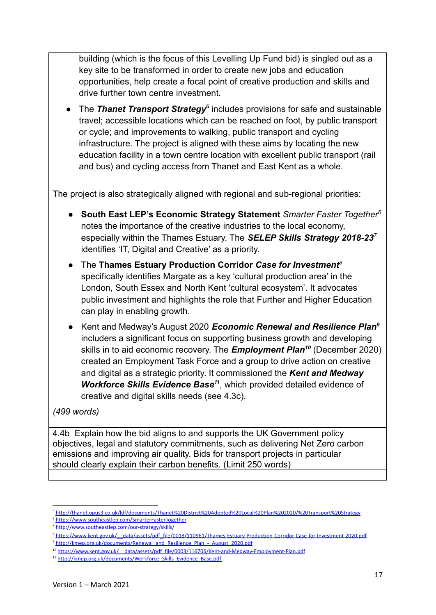building (which is the focus of this Levelling Up Fund bid) is singled out as a key site to be transformed in order to create new jobs and education opportunities, help create a focal point of creative production and skills and drive further town centre investment.

• The *Thanet Transport Strategy<sup>5</sup>* includes provisions for safe and sustainable travel; accessible locations which can be reached on foot, by public transport or cycle; and improvements to walking, public transport and cycling infrastructure. The project is aligned with these aims by locating the new education facility in a town centre location with excellent public transport (rail and bus) and cycling access from Thanet and East Kent as a whole.

The project is also strategically aligned with regional and sub-regional priorities:

- **South East LEP's Economic Strategy Statement** *Smarter Faster Together<sup>6</sup>* notes the importance of the creative industries to the local economy, especially within the Thames Estuary. The *SELEP Skills Strategy 2018-23<sup>7</sup>* identifies 'IT, Digital and Creative' as a priority.
- The **Thames Estuary Production Corridor** *Case for Investment<sup>8</sup>* specifically identifies Margate as a key 'cultural production area' in the London, South Essex and North Kent 'cultural ecosystem'. It advocates public investment and highlights the role that Further and Higher Education can play in enabling growth.
- Kent and Medway's August 2020 *Economic Renewal and Resilience Plan<sup>9</sup>* includers a significant focus on supporting business growth and developing skills in to aid economic recovery. The **Employment Plan<sup>10</sup>** (December 2020) created an Employment Task Force and a group to drive action on creative and digital as a strategic priority. It commissioned the *Kent and Medway Workforce Skills Evidence Base<sup>11</sup>*, which provided detailed evidence of creative and digital skills needs (see 4.3c).

#### *(499 words)*

4.4b Explain how the bid aligns to and supports the UK Government policy objectives, legal and statutory commitments, such as delivering Net Zero carbon emissions and improving air quality. Bids for transport projects in particular should clearly explain their carbon benefits. (Limit 250 words)

<sup>5</sup> <http://thanet.opus3.co.uk/ldf/documents/Thanet%20District%20Adopted%20Local%20Plan%202020/%20Transport%20Strategy>

<sup>6</sup> <https://www.southeastlep.com/SmarterFasterTogether>

<sup>7</sup> <http://www.southeastlep.com/our-strategy/skills/>

<sup>9</sup> [http://kmep.org.uk/documents/Renewal\\_and\\_Resilience\\_Plan\\_-\\_August\\_2020.pdf](http://kmep.org.uk/documents/Renewal_and_Resilience_Plan_-_August_2020.pdf) <sup>8</sup> [https://www.kent.gov.uk/\\_\\_data/assets/pdf\\_file/0018/110961/Thames-Estuary-Production-Corridor-Case-for-Investment-2020.pdf](https://www.kent.gov.uk/__data/assets/pdf_file/0018/110961/Thames-Estuary-Production-Corridor-Case-for-Investment-2020.pdf)

<sup>&</sup>lt;sup>10</sup> https://www.kent.gov.uk/ data/assets/pdf\_file/0003/116706/Kent-and-Medway-Employment-Plan.pdf

<sup>11</sup> [http://kmep.org.uk/documents/Workforce\\_Skills\\_Evidence\\_Base.pdf](http://kmep.org.uk/documents/Workforce_Skills_Evidence_Base.pdf)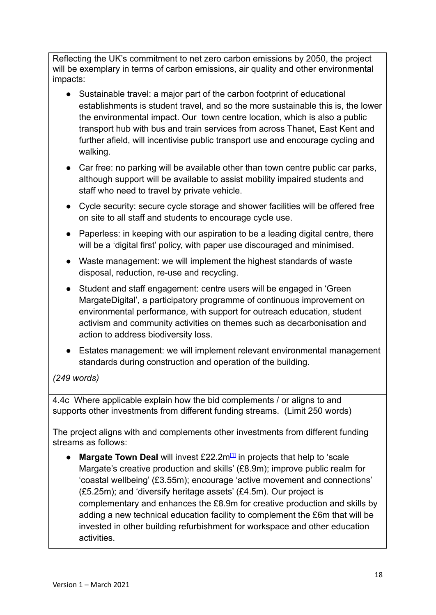Reflecting the UK's commitment to net zero carbon emissions by 2050, the project will be exemplary in terms of carbon emissions, air quality and other environmental impacts:

- Sustainable travel: a major part of the carbon footprint of educational establishments is student travel, and so the more sustainable this is, the lower the environmental impact. Our town centre location, which is also a public transport hub with bus and train services from across Thanet, East Kent and further afield, will incentivise public transport use and encourage cycling and walking.
- Car free: no parking will be available other than town centre public car parks, although support will be available to assist mobility impaired students and staff who need to travel by private vehicle.
- Cycle security: secure cycle storage and shower facilities will be offered free on site to all staff and students to encourage cycle use.
- Paperless: in keeping with our aspiration to be a leading digital centre, there will be a 'digital first' policy, with paper use discouraged and minimised.
- Waste management: we will implement the highest standards of waste disposal, reduction, re-use and recycling.
- Student and staff engagement: centre users will be engaged in 'Green' MargateDigital', a participatory programme of continuous improvement on environmental performance, with support for outreach education, student activism and community activities on themes such as decarbonisation and action to address biodiversity loss.
- Estates management: we will implement relevant environmental management standards during construction and operation of the building.

## *(249 words)*

4.4c Where applicable explain how the bid complements / or aligns to and supports other investments from different funding streams. (Limit 250 words)

The project aligns with and complements other investments from different funding streams as follows:

**• Margate Town Deal** will invest £22.2m<sup>[\[1\]](https://ukc-word-edit.officeapps.live.com/we/wordeditorframe.aspx?ui=en-gb&rs=en-gb&wopisrc=https%3A%2F%2Fstudentthanetac.sharepoint.com%2Fsites%2FMargateDigital%2F_vti_bin%2Fwopi.ashx%2Ffiles%2F9557cfb348f34468b6c2eafe2c8ac562&wdenableroaming=1&mscc=1&hid=-1696&uiembed=1&uih=teams&hhdr=1&dchat=1&sc=%7B%22pmo%22%3A%22https%3A%2F%2Fteams.microsoft.com%22%2C%22pmshare%22%3Atrue%2C%22surl%22%3A%22%22%2C%22curl%22%3A%22%22%2C%22vurl%22%3A%22%22%2C%22eurl%22%3A%22https%3A%2F%2Fteams.microsoft.com%2Ffiles%2Fapps%2Fcom.microsoft.teams.files%2Ffiles%2F2475610946%2Fopen%3Fagent%3Dpostmessage%26objectUrl%3Dhttps%253A%252F%252Fstudentthanetac.sharepoint.com%252Fsites%252FMargateDigital%252FShared%2520Documents%252FGeneral%252FLevelling%2520Up%2520Fund%2520Application%252FFinal%2520Submission%252FLUF_Application_Form%2520-%2520annotated%2520(1).docx%26fileId%3D9557cfb3-48f3-4468-b6c2-eafe2c8ac562%26fileType%3Ddocx%26ctx%3Dfiles%26scenarioId%3D1696%26locale%3Den-gb%26theme%3Ddefault%26version%3D21042101600%26setting%3Dring.id%3Ageneral%26setting%3DcreatedTime%3A1623761518091%22%7D&wdorigin=TEAMS-ELECTRON.teams.files&wdhostclicktime=1623761517667&jsapi=1&jsapiver=v1&newsession=1&corrid=0c0268e2-964f-48b5-bb65-e40608ddf272&usid=0c0268e2-964f-48b5-bb65-e40608ddf272&sftc=1&sams=1&accloop=1&sdr=6&scnd=1&hbcv=1&htv=1&hodflp=1&instantedit=1&wopicomplete=1&wdredirectionreason=Unified_SingleFlush&rct=Medium&ctp=LeastProtected#_ftn1)</sup> in projects that help to 'scale Margate's creative production and skills' (£8.9m); improve public realm for 'coastal wellbeing' (£3.55m); encourage 'active movement and connections' (£5.25m); and 'diversify heritage assets' (£4.5m). Our project is complementary and enhances the £8.9m for creative production and skills by adding a new technical education facility to complement the £6m that will be invested in other building refurbishment for workspace and other education activities.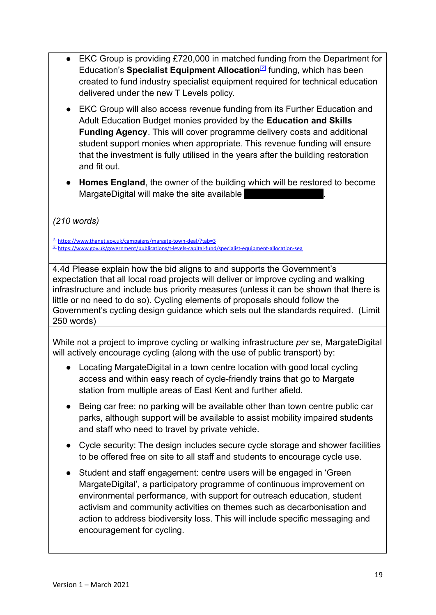- EKC Group is providing £720,000 in matched funding from the Department for Education's **Specialist Equipment Allocation**<sup>[\[2\]](https://ukc-word-edit.officeapps.live.com/we/wordeditorframe.aspx?ui=en-gb&rs=en-gb&wopisrc=https%3A%2F%2Fstudentthanetac.sharepoint.com%2Fsites%2FMargateDigital%2F_vti_bin%2Fwopi.ashx%2Ffiles%2F9557cfb348f34468b6c2eafe2c8ac562&wdenableroaming=1&mscc=1&hid=-1696&uiembed=1&uih=teams&hhdr=1&dchat=1&sc=%7B%22pmo%22%3A%22https%3A%2F%2Fteams.microsoft.com%22%2C%22pmshare%22%3Atrue%2C%22surl%22%3A%22%22%2C%22curl%22%3A%22%22%2C%22vurl%22%3A%22%22%2C%22eurl%22%3A%22https%3A%2F%2Fteams.microsoft.com%2Ffiles%2Fapps%2Fcom.microsoft.teams.files%2Ffiles%2F2475610946%2Fopen%3Fagent%3Dpostmessage%26objectUrl%3Dhttps%253A%252F%252Fstudentthanetac.sharepoint.com%252Fsites%252FMargateDigital%252FShared%2520Documents%252FGeneral%252FLevelling%2520Up%2520Fund%2520Application%252FFinal%2520Submission%252FLUF_Application_Form%2520-%2520annotated%2520(1).docx%26fileId%3D9557cfb3-48f3-4468-b6c2-eafe2c8ac562%26fileType%3Ddocx%26ctx%3Dfiles%26scenarioId%3D1696%26locale%3Den-gb%26theme%3Ddefault%26version%3D21042101600%26setting%3Dring.id%3Ageneral%26setting%3DcreatedTime%3A1623761518091%22%7D&wdorigin=TEAMS-ELECTRON.teams.files&wdhostclicktime=1623761517667&jsapi=1&jsapiver=v1&newsession=1&corrid=0c0268e2-964f-48b5-bb65-e40608ddf272&usid=0c0268e2-964f-48b5-bb65-e40608ddf272&sftc=1&sams=1&accloop=1&sdr=6&scnd=1&hbcv=1&htv=1&hodflp=1&instantedit=1&wopicomplete=1&wdredirectionreason=Unified_SingleFlush&rct=Medium&ctp=LeastProtected#_ftn2)</sup> funding, which has been created to fund industry specialist equipment required for technical education delivered under the new T Levels policy.
- EKC Group will also access revenue funding from its Further Education and Adult Education Budget monies provided by the **Education and Skills Funding Agency**. This will cover programme delivery costs and additional student support monies when appropriate. This revenue funding will ensure that the investment is fully utilised in the years after the building restoration and fit out.
- **● Homes England**, the owner of the building which will be restored to become MargateDigital will make the site available

*(210 words)*

[\[1\]](https://ukc-word-edit.officeapps.live.com/we/wordeditorframe.aspx?ui=en-gb&rs=en-gb&wopisrc=https%3A%2F%2Fstudentthanetac.sharepoint.com%2Fsites%2FMargateDigital%2F_vti_bin%2Fwopi.ashx%2Ffiles%2F9557cfb348f34468b6c2eafe2c8ac562&wdenableroaming=1&mscc=1&hid=-1696&uiembed=1&uih=teams&hhdr=1&dchat=1&sc=%7B%22pmo%22%3A%22https%3A%2F%2Fteams.microsoft.com%22%2C%22pmshare%22%3Atrue%2C%22surl%22%3A%22%22%2C%22curl%22%3A%22%22%2C%22vurl%22%3A%22%22%2C%22eurl%22%3A%22https%3A%2F%2Fteams.microsoft.com%2Ffiles%2Fapps%2Fcom.microsoft.teams.files%2Ffiles%2F2475610946%2Fopen%3Fagent%3Dpostmessage%26objectUrl%3Dhttps%253A%252F%252Fstudentthanetac.sharepoint.com%252Fsites%252FMargateDigital%252FShared%2520Documents%252FGeneral%252FLevelling%2520Up%2520Fund%2520Application%252FFinal%2520Submission%252FLUF_Application_Form%2520-%2520annotated%2520(1).docx%26fileId%3D9557cfb3-48f3-4468-b6c2-eafe2c8ac562%26fileType%3Ddocx%26ctx%3Dfiles%26scenarioId%3D1696%26locale%3Den-gb%26theme%3Ddefault%26version%3D21042101600%26setting%3Dring.id%3Ageneral%26setting%3DcreatedTime%3A1623761518091%22%7D&wdorigin=TEAMS-ELECTRON.teams.files&wdhostclicktime=1623761517667&jsapi=1&jsapiver=v1&newsession=1&corrid=0c0268e2-964f-48b5-bb65-e40608ddf272&usid=0c0268e2-964f-48b5-bb65-e40608ddf272&sftc=1&sams=1&accloop=1&sdr=6&scnd=1&hbcv=1&htv=1&hodflp=1&instantedit=1&wopicomplete=1&wdredirectionreason=Unified_SingleFlush&rct=Medium&ctp=LeastProtected#_ftnref1) <https://www.thanet.gov.uk/campaigns/margate-town-deal/?tab=3> [\[2\]](https://ukc-word-edit.officeapps.live.com/we/wordeditorframe.aspx?ui=en-gb&rs=en-gb&wopisrc=https%3A%2F%2Fstudentthanetac.sharepoint.com%2Fsites%2FMargateDigital%2F_vti_bin%2Fwopi.ashx%2Ffiles%2F9557cfb348f34468b6c2eafe2c8ac562&wdenableroaming=1&mscc=1&hid=-1696&uiembed=1&uih=teams&hhdr=1&dchat=1&sc=%7B%22pmo%22%3A%22https%3A%2F%2Fteams.microsoft.com%22%2C%22pmshare%22%3Atrue%2C%22surl%22%3A%22%22%2C%22curl%22%3A%22%22%2C%22vurl%22%3A%22%22%2C%22eurl%22%3A%22https%3A%2F%2Fteams.microsoft.com%2Ffiles%2Fapps%2Fcom.microsoft.teams.files%2Ffiles%2F2475610946%2Fopen%3Fagent%3Dpostmessage%26objectUrl%3Dhttps%253A%252F%252Fstudentthanetac.sharepoint.com%252Fsites%252FMargateDigital%252FShared%2520Documents%252FGeneral%252FLevelling%2520Up%2520Fund%2520Application%252FFinal%2520Submission%252FLUF_Application_Form%2520-%2520annotated%2520(1).docx%26fileId%3D9557cfb3-48f3-4468-b6c2-eafe2c8ac562%26fileType%3Ddocx%26ctx%3Dfiles%26scenarioId%3D1696%26locale%3Den-gb%26theme%3Ddefault%26version%3D21042101600%26setting%3Dring.id%3Ageneral%26setting%3DcreatedTime%3A1623761518091%22%7D&wdorigin=TEAMS-ELECTRON.teams.files&wdhostclicktime=1623761517667&jsapi=1&jsapiver=v1&newsession=1&corrid=0c0268e2-964f-48b5-bb65-e40608ddf272&usid=0c0268e2-964f-48b5-bb65-e40608ddf272&sftc=1&sams=1&accloop=1&sdr=6&scnd=1&hbcv=1&htv=1&hodflp=1&instantedit=1&wopicomplete=1&wdredirectionreason=Unified_SingleFlush&rct=Medium&ctp=LeastProtected#_ftnref2) <https://www.gov.uk/government/publications/t-levels-capital-fund/specialist-equipment-allocation-sea>

4.4d Please explain how the bid aligns to and supports the Government's expectation that all local road projects will deliver or improve cycling and walking infrastructure and include bus priority measures (unless it can be shown that there is little or no need to do so). Cycling elements of proposals should follow the Government's cycling design guidance which sets out the standards required. (Limit 250 words)

While not a project to improve cycling or walking infrastructure *per* se, MargateDigital will actively encourage cycling (along with the use of public transport) by:

- Locating MargateDigital in a town centre location with good local cycling access and within easy reach of cycle-friendly trains that go to Margate station from multiple areas of East Kent and further afield.
- Being car free: no parking will be available other than town centre public car parks, although support will be available to assist mobility impaired students and staff who need to travel by private vehicle.
- Cycle security: The design includes secure cycle storage and shower facilities to be offered free on site to all staff and students to encourage cycle use.
- Student and staff engagement: centre users will be engaged in 'Green MargateDigital', a participatory programme of continuous improvement on environmental performance, with support for outreach education, student activism and community activities on themes such as decarbonisation and action to address biodiversity loss. This will include specific messaging and encouragement for cycling.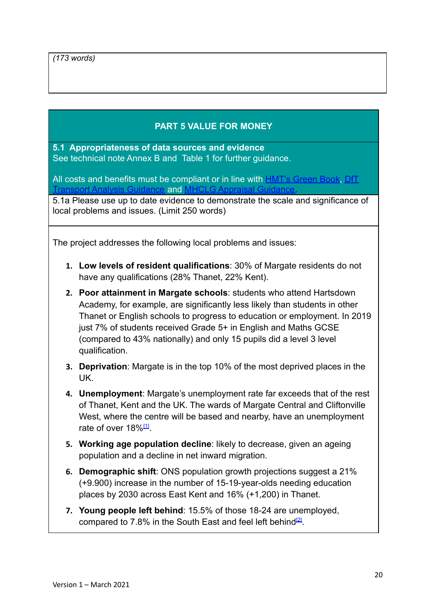### **PART 5 VALUE FOR MONEY**

**5.1 Appropriateness of data sources and evidence** See technical note Annex B and Table 1 for further guidance.

All costs and benefits must be compliant or in line with **HMT's Green Book**, [DfT](https://www.gov.uk/guidance/transport-analysis-guidance-tag) [Transport Analysis Guidance](https://www.gov.uk/guidance/transport-analysis-guidance-tag) and [MHCLG Appraisal Guidance.](https://www.gov.uk/government/publications/department-for-communities-and-local-government-appraisal-guide)

5.1a Please use up to date evidence to demonstrate the scale and significance of local problems and issues. (Limit 250 words)

The project addresses the following local problems and issues:

- **1. Low levels of resident qualifications**: 30% of Margate residents do not have any qualifications (28% Thanet, 22% Kent).
- **2. Poor attainment in Margate schools**: students who attend Hartsdown Academy, for example, are significantly less likely than students in other Thanet or English schools to progress to education or employment. In 2019 just 7% of students received Grade 5+ in English and Maths GCSE (compared to 43% nationally) and only 15 pupils did a level 3 level qualification.
- **3. Deprivation**: Margate is in the top 10% of the most deprived places in the UK.
- **4. Unemployment**: Margate's unemployment rate far exceeds that of the rest of Thanet, Kent and the UK. The wards of Margate Central and Cliftonville West, where the centre will be based and nearby, have an unemployment rate of over 18%[\[1\]](https://ukc-word-edit.officeapps.live.com/we/wordeditorframe.aspx?ui=en-gb&rs=en-gb&wopisrc=https%3A%2F%2Fstudentthanetac.sharepoint.com%2Fsites%2FMargateDigital%2F_vti_bin%2Fwopi.ashx%2Ffiles%2F9557cfb348f34468b6c2eafe2c8ac562&wdenableroaming=1&mscc=1&hid=-2583&uiembed=1&uih=teams&hhdr=1&dchat=1&sc=%7B%22pmo%22%3A%22https%3A%2F%2Fteams.microsoft.com%22%2C%22pmshare%22%3Atrue%2C%22surl%22%3A%22%22%2C%22curl%22%3A%22%22%2C%22vurl%22%3A%22%22%2C%22eurl%22%3A%22https%3A%2F%2Fteams.microsoft.com%2Ffiles%2Fapps%2Fcom.microsoft.teams.files%2Ffiles%2F2475610946%2Fopen%3Fagent%3Dpostmessage%26objectUrl%3Dhttps%253A%252F%252Fstudentthanetac.sharepoint.com%252Fsites%252FMargateDigital%252FShared%2520Documents%252FGeneral%252FLevelling%2520Up%2520Fund%2520Application%252FFinal%2520Submission%252FLUF_Application_Form%2520-%2520annotated%2520(1).docx%26fileId%3D9557cfb3-48f3-4468-b6c2-eafe2c8ac562%26fileType%3Ddocx%26ctx%3Dfiles%26scenarioId%3D2583%26locale%3Den-gb%26theme%3Ddefault%26version%3D21043007800%26setting%3Dring.id%3Ageneral%26setting%3DcreatedTime%3A1623848291384%22%7D&wdorigin=TEAMS-ELECTRON.teams.files&wdhostclicktime=1623848291187&jsapi=1&jsapiver=v1&newsession=1&corrid=8b3d9778-cfdc-4233-9962-be31866a9e44&usid=8b3d9778-cfdc-4233-9962-be31866a9e44&sftc=1&sams=1&accloop=1&sdr=6&scnd=1&hbcv=1&htv=1&hodflp=1&instantedit=1&wopicomplete=1&wdredirectionreason=Unified_SingleFlush&rct=Medium&ctp=LeastProtected#_ftn1)
- **5. Working age population decline**: likely to decrease, given an ageing population and a decline in net inward migration.
- **6. Demographic shift**: ONS population growth projections suggest a 21% (+9.900) increase in the number of 15-19-year-olds needing education places by 2030 across East Kent and 16% (+1,200) in Thanet.
- **7. Young people left behind**: 15.5% of those 18-24 are unemployed, compared to 7.8% in the South East and feel left behind $^{[2]}$  $^{[2]}$  $^{[2]}$ .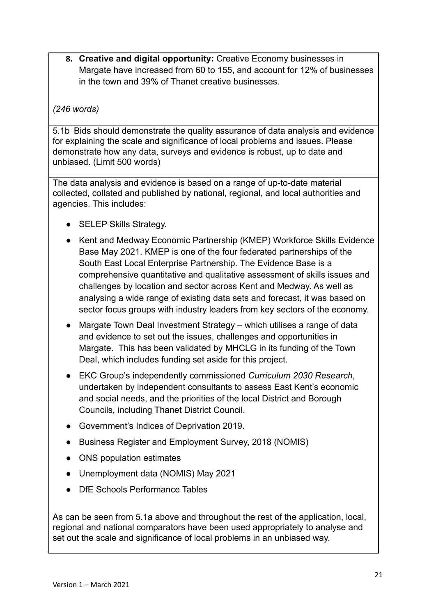**8. Creative and digital opportunity:** Creative Economy businesses in Margate have increased from 60 to 155, and account for 12% of businesses in the town and 39% of Thanet creative businesses.

#### *(246 words)*

5.1b Bids should demonstrate the quality assurance of data analysis and evidence for explaining the scale and significance of local problems and issues. Please demonstrate how any data, surveys and evidence is robust, up to date and unbiased. (Limit 500 words)

The data analysis and evidence is based on a range of up-to-date material collected, collated and published by national, regional, and local authorities and agencies. This includes:

- **SELEP Skills Strategy.**
- Kent and Medway Economic Partnership (KMEP) Workforce Skills Evidence Base May 2021. KMEP is one of the four federated partnerships of the South East Local Enterprise Partnership. The Evidence Base is a comprehensive quantitative and qualitative assessment of skills issues and challenges by location and sector across Kent and Medway. As well as analysing a wide range of existing data sets and forecast, it was based on sector focus groups with industry leaders from key sectors of the economy.
- Margate Town Deal Investment Strategy which utilises a range of data and evidence to set out the issues, challenges and opportunities in Margate. This has been validated by MHCLG in its funding of the Town Deal, which includes funding set aside for this project.
- EKC Group's independently commissioned *Curriculum 2030 Research*, undertaken by independent consultants to assess East Kent's economic and social needs, and the priorities of the local District and Borough Councils, including Thanet District Council.
- Government's Indices of Deprivation 2019.
- Business Register and Employment Survey, 2018 (NOMIS)
- ONS population estimates
- Unemployment data (NOMIS) May 2021
- DfE Schools Performance Tables

As can be seen from 5.1a above and throughout the rest of the application, local, regional and national comparators have been used appropriately to analyse and set out the scale and significance of local problems in an unbiased way.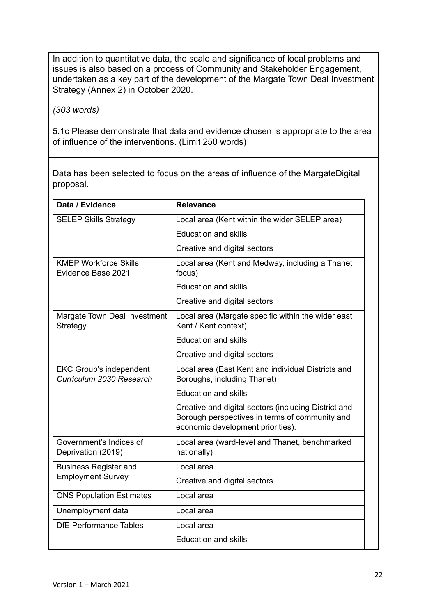In addition to quantitative data, the scale and significance of local problems and issues is also based on a process of Community and Stakeholder Engagement, undertaken as a key part of the development of the Margate Town Deal Investment Strategy (Annex 2) in October 2020.

*(303 words)*

5.1c Please demonstrate that data and evidence chosen is appropriate to the area of influence of the interventions. (Limit 250 words)

Data has been selected to focus on the areas of influence of the MargateDigital proposal.

| Data / Evidence                                            | <b>Relevance</b>                                                                                                                            |  |
|------------------------------------------------------------|---------------------------------------------------------------------------------------------------------------------------------------------|--|
| <b>SELEP Skills Strategy</b>                               | Local area (Kent within the wider SELEP area)                                                                                               |  |
|                                                            | <b>Education and skills</b>                                                                                                                 |  |
|                                                            | Creative and digital sectors                                                                                                                |  |
| <b>KMEP Workforce Skills</b><br>Evidence Base 2021         | Local area (Kent and Medway, including a Thanet<br>focus)                                                                                   |  |
|                                                            | <b>Education and skills</b>                                                                                                                 |  |
|                                                            | Creative and digital sectors                                                                                                                |  |
| Margate Town Deal Investment<br>Strategy                   | Local area (Margate specific within the wider east<br>Kent / Kent context)                                                                  |  |
|                                                            | <b>Education and skills</b>                                                                                                                 |  |
|                                                            | Creative and digital sectors                                                                                                                |  |
| <b>EKC Group's independent</b><br>Curriculum 2030 Research | Local area (East Kent and individual Districts and<br>Boroughs, including Thanet)                                                           |  |
|                                                            | <b>Education and skills</b>                                                                                                                 |  |
|                                                            | Creative and digital sectors (including District and<br>Borough perspectives in terms of community and<br>economic development priorities). |  |
| Government's Indices of<br>Deprivation (2019)              | Local area (ward-level and Thanet, benchmarked<br>nationally)                                                                               |  |
| <b>Business Register and</b>                               | Local area                                                                                                                                  |  |
| <b>Employment Survey</b>                                   | Creative and digital sectors                                                                                                                |  |
| <b>ONS Population Estimates</b>                            | Local area                                                                                                                                  |  |
| Unemployment data                                          | Local area                                                                                                                                  |  |
| <b>DfE Performance Tables</b>                              | Local area                                                                                                                                  |  |
|                                                            | <b>Education and skills</b>                                                                                                                 |  |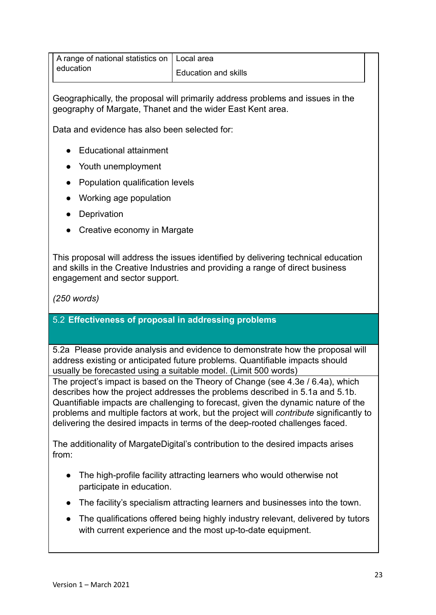| A range of national statistics on   Local area |                      |  |
|------------------------------------------------|----------------------|--|
| I education                                    | Education and skills |  |

Geographically, the proposal will primarily address problems and issues in the geography of Margate, Thanet and the wider East Kent area.

Data and evidence has also been selected for:

- Educational attainment
- Youth unemployment
- Population qualification levels
- Working age population
- Deprivation
- Creative economy in Margate

This proposal will address the issues identified by delivering technical education and skills in the Creative Industries and providing a range of direct business engagement and sector support.

*(250 words)*

#### 5.2 **Effectiveness of proposal in addressing problems**

5.2a Please provide analysis and evidence to demonstrate how the proposal will address existing or anticipated future problems. Quantifiable impacts should usually be forecasted using a suitable model. (Limit 500 words)

The project's impact is based on the Theory of Change (see 4.3e / 6.4a), which describes how the project addresses the problems described in 5.1a and 5.1b. Quantifiable impacts are challenging to forecast, given the dynamic nature of the problems and multiple factors at work, but the project will *contribute* significantly to delivering the desired impacts in terms of the deep-rooted challenges faced.

The additionality of MargateDigital's contribution to the desired impacts arises from:

- The high-profile facility attracting learners who would otherwise not participate in education.
- The facility's specialism attracting learners and businesses into the town.
- The qualifications offered being highly industry relevant, delivered by tutors with current experience and the most up-to-date equipment.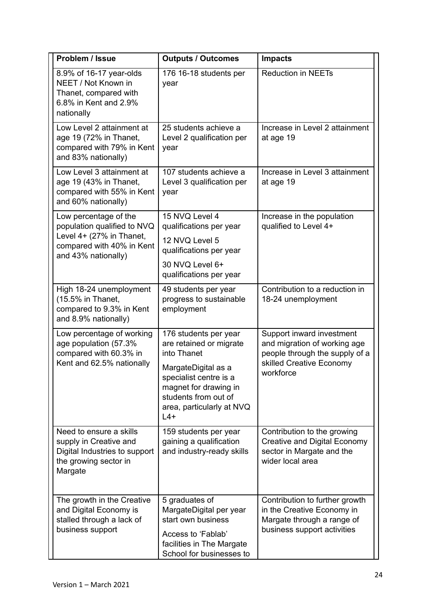| Problem / Issue                                                                                                        | <b>Outputs / Outcomes</b>                                                                                                                      | <b>Impacts</b>                                                                                                            |
|------------------------------------------------------------------------------------------------------------------------|------------------------------------------------------------------------------------------------------------------------------------------------|---------------------------------------------------------------------------------------------------------------------------|
| 8.9% of 16-17 year-olds<br>NEET / Not Known in<br>Thanet, compared with<br>6.8% in Kent and 2.9%<br>nationally         | 176 16-18 students per<br>year                                                                                                                 | <b>Reduction in NEETs</b>                                                                                                 |
| Low Level 2 attainment at<br>age 19 (72% in Thanet,<br>compared with 79% in Kent<br>and 83% nationally)                | 25 students achieve a<br>Level 2 qualification per<br>year                                                                                     | Increase in Level 2 attainment<br>at age 19                                                                               |
| Low Level 3 attainment at<br>age 19 (43% in Thanet,<br>compared with 55% in Kent<br>and 60% nationally)                | 107 students achieve a<br>Level 3 qualification per<br>year                                                                                    | Increase in Level 3 attainment<br>at age 19                                                                               |
| Low percentage of the<br>population qualified to NVQ                                                                   | 15 NVQ Level 4<br>qualifications per year                                                                                                      | Increase in the population<br>qualified to Level 4+                                                                       |
| Level 4+ (27% in Thanet,<br>compared with 40% in Kent                                                                  | 12 NVQ Level 5<br>qualifications per year                                                                                                      |                                                                                                                           |
| and 43% nationally)                                                                                                    | 30 NVQ Level 6+<br>qualifications per year                                                                                                     |                                                                                                                           |
| High 18-24 unemployment<br>(15.5% in Thanet,<br>compared to 9.3% in Kent<br>and 8.9% nationally)                       | 49 students per year<br>progress to sustainable<br>employment                                                                                  | Contribution to a reduction in<br>18-24 unemployment                                                                      |
| Low percentage of working<br>age population (57.3%<br>compared with 60.3% in                                           | 176 students per year<br>are retained or migrate<br>into Thanet                                                                                | Support inward investment<br>and migration of working age<br>people through the supply of a                               |
| Kent and 62.5% nationally                                                                                              | MargateDigital as a<br>specialist centre is a<br>magnet for drawing in<br>students from out of<br>area, particularly at NVQ<br>$L4+$           | skilled Creative Economy<br>workforce                                                                                     |
| Need to ensure a skills<br>supply in Creative and<br>Digital Industries to support<br>the growing sector in<br>Margate | 159 students per year<br>gaining a qualification<br>and industry-ready skills                                                                  | Contribution to the growing<br>Creative and Digital Economy<br>sector in Margate and the<br>wider local area              |
| The growth in the Creative<br>and Digital Economy is<br>stalled through a lack of<br>business support                  | 5 graduates of<br>MargateDigital per year<br>start own business<br>Access to 'Fablab'<br>facilities in The Margate<br>School for businesses to | Contribution to further growth<br>in the Creative Economy in<br>Margate through a range of<br>business support activities |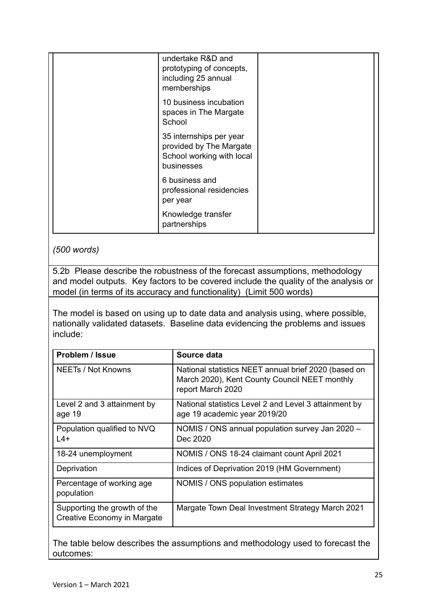| undertake R&D and<br>prototyping of concepts,<br>including 25 annual<br>memberships           |  |
|-----------------------------------------------------------------------------------------------|--|
| 10 business incubation<br>spaces in The Margate<br>School                                     |  |
| 35 internships per year<br>provided by The Margate<br>School working with local<br>businesses |  |
| 6 business and<br>professional residencies<br>per year                                        |  |
| Knowledge transfer<br>partnerships                                                            |  |

*(500 words)*

5.2b Please describe the robustness of the forecast assumptions, methodology and model outputs. Key factors to be covered include the quality of the analysis or model (in terms of its accuracy and functionality) (Limit 500 words)

The model is based on using up to date data and analysis using, where possible, nationally validated datasets. Baseline data evidencing the problems and issues include:

| Problem / Issue                                             | Source data                                                                                                                |
|-------------------------------------------------------------|----------------------------------------------------------------------------------------------------------------------------|
| NEETs / Not Knowns                                          | National statistics NEET annual brief 2020 (based on<br>March 2020), Kent County Council NEET monthly<br>report March 2020 |
| Level 2 and 3 attainment by<br>age 19                       | National statistics Level 2 and Level 3 attainment by<br>age 19 academic year 2019/20                                      |
| Population qualified to NVQ<br>$L4+$                        | NOMIS / ONS annual population survey Jan 2020 -<br>Dec 2020                                                                |
| 18-24 unemployment                                          | NOMIS / ONS 18-24 claimant count April 2021                                                                                |
| Deprivation                                                 | Indices of Deprivation 2019 (HM Government)                                                                                |
| Percentage of working age<br>population                     | NOMIS / ONS population estimates                                                                                           |
| Supporting the growth of the<br>Creative Economy in Margate | Margate Town Deal Investment Strategy March 2021                                                                           |

The table below describes the assumptions and methodology used to forecast the outcomes: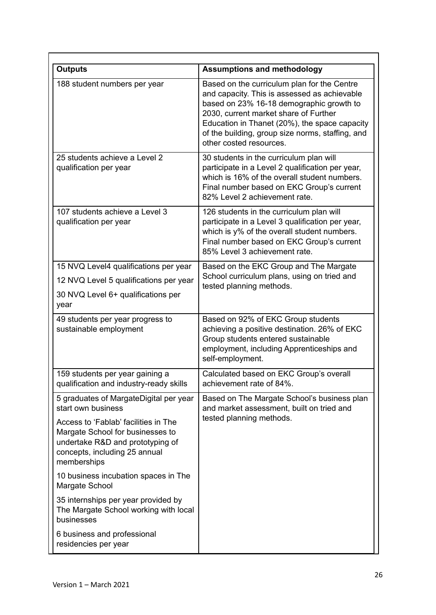| <b>Outputs</b>                                                                                                                                               | <b>Assumptions and methodology</b>                                                                                                                                                                                                                                                                               |
|--------------------------------------------------------------------------------------------------------------------------------------------------------------|------------------------------------------------------------------------------------------------------------------------------------------------------------------------------------------------------------------------------------------------------------------------------------------------------------------|
| 188 student numbers per year                                                                                                                                 | Based on the curriculum plan for the Centre<br>and capacity. This is assessed as achievable<br>based on 23% 16-18 demographic growth to<br>2030, current market share of Further<br>Education in Thanet (20%), the space capacity<br>of the building, group size norms, staffing, and<br>other costed resources. |
| 25 students achieve a Level 2<br>qualification per year                                                                                                      | 30 students in the curriculum plan will<br>participate in a Level 2 qualification per year,<br>which is 16% of the overall student numbers.<br>Final number based on EKC Group's current<br>82% Level 2 achievement rate.                                                                                        |
| 107 students achieve a Level 3<br>qualification per year                                                                                                     | 126 students in the curriculum plan will<br>participate in a Level 3 qualification per year,<br>which is y% of the overall student numbers.<br>Final number based on EKC Group's current<br>85% Level 3 achievement rate.                                                                                        |
| 15 NVQ Level4 qualifications per year                                                                                                                        | Based on the EKC Group and The Margate<br>School curriculum plans, using on tried and                                                                                                                                                                                                                            |
| 12 NVQ Level 5 qualifications per year                                                                                                                       | tested planning methods.                                                                                                                                                                                                                                                                                         |
| 30 NVQ Level 6+ qualifications per<br>year                                                                                                                   |                                                                                                                                                                                                                                                                                                                  |
| 49 students per year progress to<br>sustainable employment                                                                                                   | Based on 92% of EKC Group students<br>achieving a positive destination. 26% of EKC<br>Group students entered sustainable<br>employment, including Apprenticeships and<br>self-employment.                                                                                                                        |
| 159 students per year gaining a<br>qualification and industry-ready skills                                                                                   | Calculated based on EKC Group's overall<br>achievement rate of 84%.                                                                                                                                                                                                                                              |
| 5 graduates of MargateDigital per year<br>start own business                                                                                                 | Based on The Margate School's business plan<br>and market assessment, built on tried and                                                                                                                                                                                                                         |
| Access to 'Fablab' facilities in The<br>Margate School for businesses to<br>undertake R&D and prototyping of<br>concepts, including 25 annual<br>memberships | tested planning methods.                                                                                                                                                                                                                                                                                         |
| 10 business incubation spaces in The<br>Margate School                                                                                                       |                                                                                                                                                                                                                                                                                                                  |
| 35 internships per year provided by<br>The Margate School working with local<br>businesses                                                                   |                                                                                                                                                                                                                                                                                                                  |
| 6 business and professional<br>residencies per year                                                                                                          |                                                                                                                                                                                                                                                                                                                  |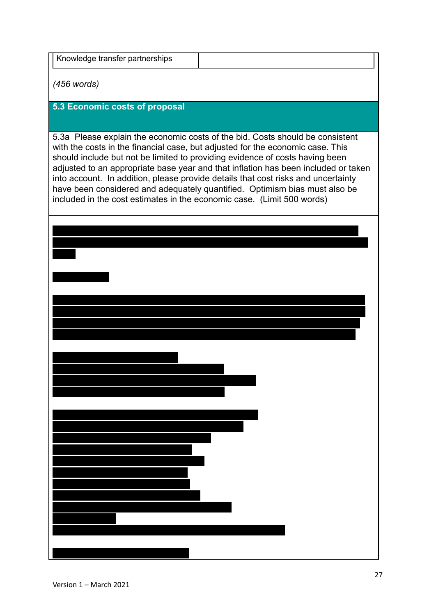| Knowledge transfer partnerships |  |
|---------------------------------|--|
|                                 |  |

*(456 words)*

#### **5.3 Economic costs of proposal**

5.3a Please explain the economic costs of the bid. Costs should be consistent with the costs in the financial case, but adjusted for the economic case. This should include but not be limited to providing evidence of costs having been adjusted to an appropriate base year and that inflation has been included or taken into account. In addition, please provide details that cost risks and uncertainty have been considered and adequately quantified. Optimism bias must also be included in the cost estimates in the economic case. (Limit 500 words)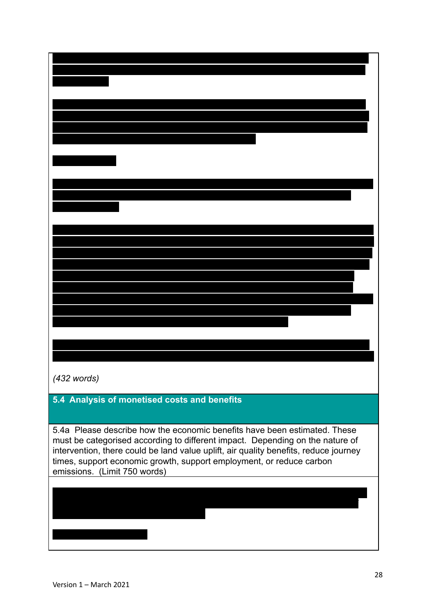| $(432$ words)                                                                        |
|--------------------------------------------------------------------------------------|
|                                                                                      |
| 5.4 Analysis of monetised costs and benefits                                         |
|                                                                                      |
| 5.4a Please describe how the economic benefits have been estimated. These            |
| must be categorised according to different impact. Depending on the nature of        |
| intervention, there could be land value uplift, air quality benefits, reduce journey |
| times, support economic growth, support employment, or reduce carbon                 |
| emissions. (Limit 750 words)                                                         |
|                                                                                      |
|                                                                                      |
|                                                                                      |
|                                                                                      |
|                                                                                      |
|                                                                                      |
|                                                                                      |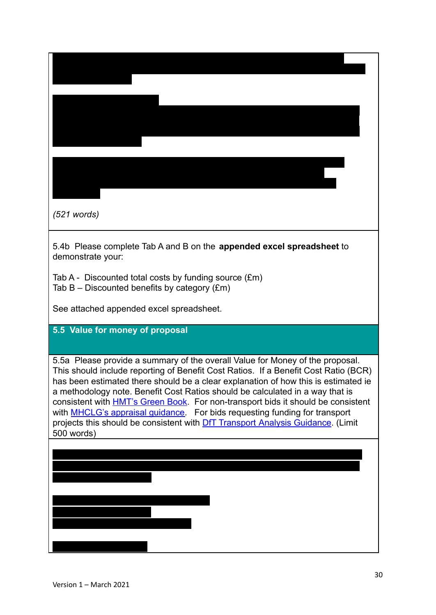| $(521$ words)                                                                                                                                                                                                                                                                                                                                                                                                                                                                                                                                                                                                                  |
|--------------------------------------------------------------------------------------------------------------------------------------------------------------------------------------------------------------------------------------------------------------------------------------------------------------------------------------------------------------------------------------------------------------------------------------------------------------------------------------------------------------------------------------------------------------------------------------------------------------------------------|
| 5.4b Please complete Tab A and B on the appended excel spreadsheet to<br>demonstrate your:                                                                                                                                                                                                                                                                                                                                                                                                                                                                                                                                     |
| Tab A - Discounted total costs by funding source (£m)<br>Tab $B -$ Discounted benefits by category $(\text{Em})$                                                                                                                                                                                                                                                                                                                                                                                                                                                                                                               |
| See attached appended excel spreadsheet.                                                                                                                                                                                                                                                                                                                                                                                                                                                                                                                                                                                       |
| 5.5 Value for money of proposal                                                                                                                                                                                                                                                                                                                                                                                                                                                                                                                                                                                                |
| 5.5a Please provide a summary of the overall Value for Money of the proposal.<br>This should include reporting of Benefit Cost Ratios. If a Benefit Cost Ratio (BCR)<br>has been estimated there should be a clear explanation of how this is estimated ie<br>a methodology note. Benefit Cost Ratios should be calculated in a way that is<br>consistent with <b>HMT's Green Book</b> . For non-transport bids it should be consistent<br>with MHCLG's appraisal guidance. For bids requesting funding for transport<br>projects this should be consistent with <b>DfT Transport Analysis Guidance</b> . (Limit<br>500 words) |
|                                                                                                                                                                                                                                                                                                                                                                                                                                                                                                                                                                                                                                |
|                                                                                                                                                                                                                                                                                                                                                                                                                                                                                                                                                                                                                                |
|                                                                                                                                                                                                                                                                                                                                                                                                                                                                                                                                                                                                                                |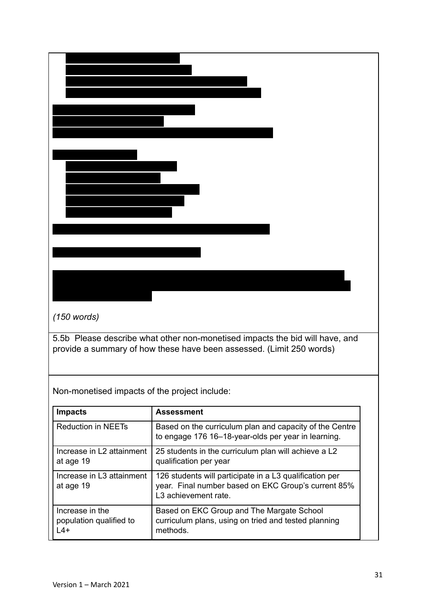| $(150$ words)                                 |                                                                                                                                                      |
|-----------------------------------------------|------------------------------------------------------------------------------------------------------------------------------------------------------|
|                                               | 5.5b Please describe what other non-monetised impacts the bid will have, and<br>provide a summary of how these have been assessed. (Limit 250 words) |
| Non-monetised impacts of the project include: |                                                                                                                                                      |
| <b>Impacts</b>                                | <b>Assessment</b>                                                                                                                                    |
| <b>Reduction in NEETs</b>                     | Based on the curriculum plan and capacity of the Centre<br>to engage 176 16-18-year-olds per year in learning.                                       |
| Increase in L2 attainment<br>at age 19        | 25 students in the curriculum plan will achieve a L2<br>qualification per year                                                                       |
| Increase in L3 attainment<br>at age 19        | 126 students will participate in a L3 qualification per<br>year. Final number based on EKC Group's current 85%<br>L3 achievement rate.               |
| Increase in the<br>population qualified to    | Based on EKC Group and The Margate School<br>curriculum plans, using on tried and tested planning                                                    |

methods.

 $L4+$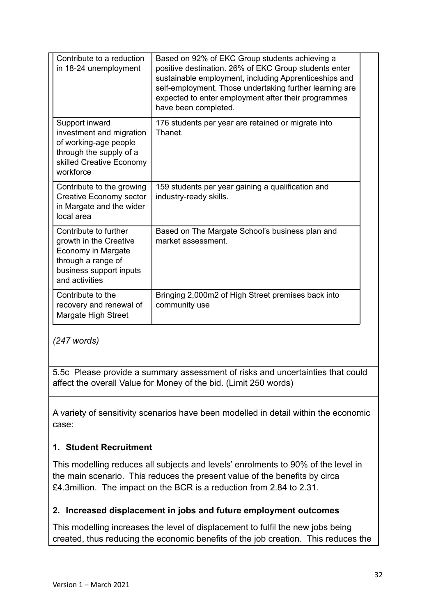| Contribute to a reduction<br>in 18-24 unemployment                                                                                       | Based on 92% of EKC Group students achieving a<br>positive destination. 26% of EKC Group students enter<br>sustainable employment, including Apprenticeships and<br>self-employment. Those undertaking further learning are<br>expected to enter employment after their programmes<br>have been completed. |
|------------------------------------------------------------------------------------------------------------------------------------------|------------------------------------------------------------------------------------------------------------------------------------------------------------------------------------------------------------------------------------------------------------------------------------------------------------|
| Support inward<br>investment and migration<br>of working-age people<br>through the supply of a<br>skilled Creative Economy<br>workforce  | 176 students per year are retained or migrate into<br>Thanet                                                                                                                                                                                                                                               |
| Contribute to the growing<br>Creative Economy sector<br>in Margate and the wider<br>local area                                           | 159 students per year gaining a qualification and<br>industry-ready skills.                                                                                                                                                                                                                                |
| Contribute to further<br>growth in the Creative<br>Economy in Margate<br>through a range of<br>business support inputs<br>and activities | Based on The Margate School's business plan and<br>market assessment.                                                                                                                                                                                                                                      |
| Contribute to the<br>recovery and renewal of<br>Margate High Street                                                                      | Bringing 2,000m2 of High Street premises back into<br>community use                                                                                                                                                                                                                                        |

*(247 words)*

5.5c Please provide a summary assessment of risks and uncertainties that could affect the overall Value for Money of the bid. (Limit 250 words)

A variety of sensitivity scenarios have been modelled in detail within the economic case:

## **1. Student Recruitment**

This modelling reduces all subjects and levels' enrolments to 90% of the level in the main scenario. This reduces the present value of the benefits by circa £4.3million. The impact on the BCR is a reduction from 2.84 to 2.31.

#### **2. Increased displacement in jobs and future employment outcomes**

This modelling increases the level of displacement to fulfil the new jobs being created, thus reducing the economic benefits of the job creation. This reduces the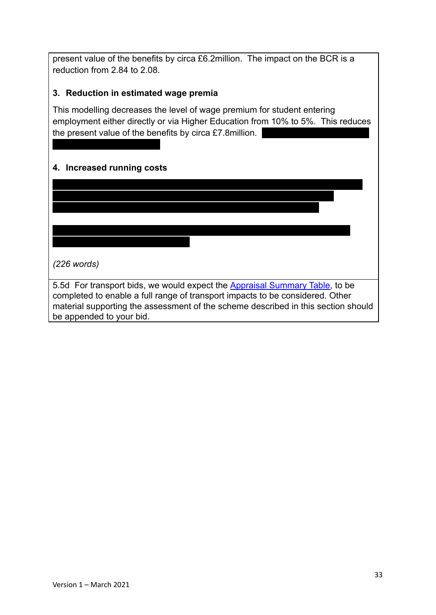present value of the benefits by circa £6.2million. The impact on the BCR is a reduction from 2.84 to 2.08.

#### **3. Reduction in estimated wage premia**

This modelling decreases the level of wage premium for student entering employment either directly or via Higher Education from 10% to 5%. This reduces the present value of the benefits by circa  $£7.8$ million.

This modelling increases the level of running costs by altering the optimism bias

from 25% to 33%. This increases the present value of the costs by circa £1.8million. The impact on the BCR is a reduction from 2.84 to 2.58.

On all scenarios, the BCR is positive and greater than 1.88, with the greatest

#### **4. Increased running costs**

reduction from 2.84 to 1.88.

*(226 words)*

5.5d For transport bids, we would expect the Appraisal [Summary Table,](https://www.gov.uk/guidance/transport-analysis-guidance-tag) to be completed to enable a full range of transport impacts to be considered. Other material supporting the assessment of the scheme described in this section should be appended to your bid.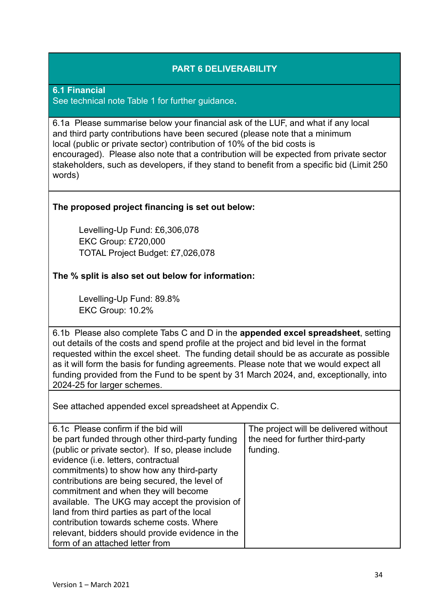### **PART 6 DELIVERABILITY**

**6.1 Financial** See technical note Table 1 for further guidance**.**

6.1a Please summarise below your financial ask of the LUF, and what if any local and third party contributions have been secured (please note that a minimum local (public or private sector) contribution of 10% of the bid costs is encouraged). Please also note that a contribution will be expected from private sector stakeholders, such as developers, if they stand to benefit from a specific bid (Limit 250 words)

#### **The proposed project financing is set out below:**

Levelling-Up Fund: £6,306,078 EKC Group: £720,000 TOTAL Project Budget: £7,026,078

#### **The % split is also set out below for information:**

Levelling-Up Fund: 89.8% EKC Group: 10.2%

6.1b Please also complete Tabs C and D in the **appended excel spreadsheet**, setting out details of the costs and spend profile at the project and bid level in the format requested within the excel sheet. The funding detail should be as accurate as possible as it will form the basis for funding agreements. Please note that we would expect all funding provided from the Fund to be spent by 31 March 2024, and, exceptionally, into 2024-25 for larger schemes.

See attached appended excel spreadsheet at Appendix C.

| 6.1c Please confirm if the bid will               | The project will be delivered without |
|---------------------------------------------------|---------------------------------------|
| be part funded through other third-party funding  | the need for further third-party      |
| (public or private sector). If so, please include | funding.                              |
| evidence (i.e. letters, contractual               |                                       |
| commitments) to show how any third-party          |                                       |
| contributions are being secured, the level of     |                                       |
| commitment and when they will become              |                                       |
| available. The UKG may accept the provision of    |                                       |
| land from third parties as part of the local      |                                       |
| contribution towards scheme costs. Where          |                                       |
| relevant, bidders should provide evidence in the  |                                       |
| form of an attached letter from                   |                                       |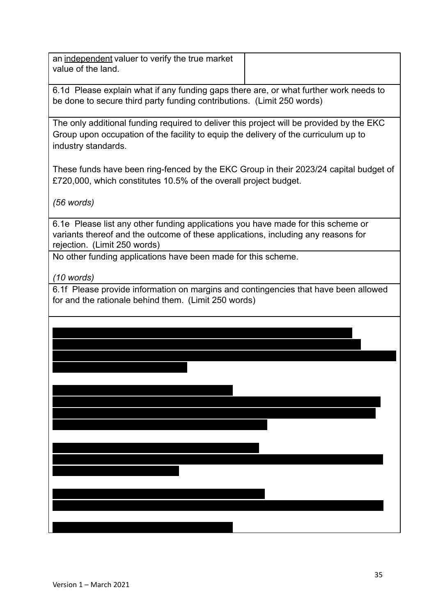an independent valuer to verify the true market value of the land.

6.1d Please explain what if any funding gaps there are, or what further work needs to be done to secure third party funding contributions. (Limit 250 words)

The only additional funding required to deliver this project will be provided by the EKC Group upon occupation of the facility to equip the delivery of the curriculum up to industry standards.

These funds have been ring-fenced by the EKC Group in their 2023/24 capital budget of £720,000, which constitutes 10.5% of the overall project budget.

*(56 words)*

6.1e Please list any other funding applications you have made for this scheme or variants thereof and the outcome of these applications, including any reasons for rejection. (Limit 250 words)

No other funding applications have been made for this scheme.

*(10 words)*

6.1f Please provide information on margins and contingencies that have been allowed for and the rationale behind them. (Limit 250 words)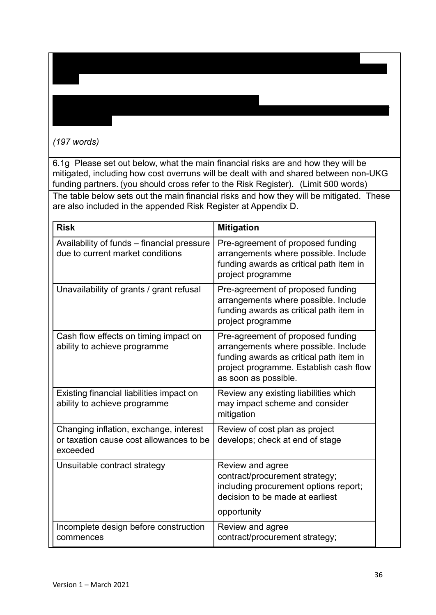## *(197 words)*

the new facility.

phase.

6.1g Please set out below, what the main financial risks are and how they will be mitigated, including how cost overruns will be dealt with and shared between non-UKG funding partners. (you should cross refer to the Risk Register). (Limit 500 words)

This is a cost element included to cover the risks associated with the contractor

identifies previously unforeseen costs in the period during the actual construction build

This is a cost element included to cover all other risks in the design and construction of

The table below sets out the main financial risks and how they will be mitigated. These are also included in the appended Risk Register at Appendix D.

| <b>Risk</b>                                                                                   | <b>Mitigation</b>                                                                                                                                                                      |
|-----------------------------------------------------------------------------------------------|----------------------------------------------------------------------------------------------------------------------------------------------------------------------------------------|
| Availability of funds - financial pressure<br>due to current market conditions                | Pre-agreement of proposed funding<br>arrangements where possible. Include<br>funding awards as critical path item in<br>project programme                                              |
| Unavailability of grants / grant refusal                                                      | Pre-agreement of proposed funding<br>arrangements where possible. Include<br>funding awards as critical path item in<br>project programme                                              |
| Cash flow effects on timing impact on<br>ability to achieve programme                         | Pre-agreement of proposed funding<br>arrangements where possible. Include<br>funding awards as critical path item in<br>project programme. Establish cash flow<br>as soon as possible. |
| Existing financial liabilities impact on<br>ability to achieve programme                      | Review any existing liabilities which<br>may impact scheme and consider<br>mitigation                                                                                                  |
| Changing inflation, exchange, interest<br>or taxation cause cost allowances to be<br>exceeded | Review of cost plan as project<br>develops; check at end of stage                                                                                                                      |
| Unsuitable contract strategy                                                                  | Review and agree<br>contract/procurement strategy;<br>including procurement options report;<br>decision to be made at earliest<br>opportunity                                          |
| Incomplete design before construction<br>commences                                            | Review and agree<br>contract/procurement strategy;                                                                                                                                     |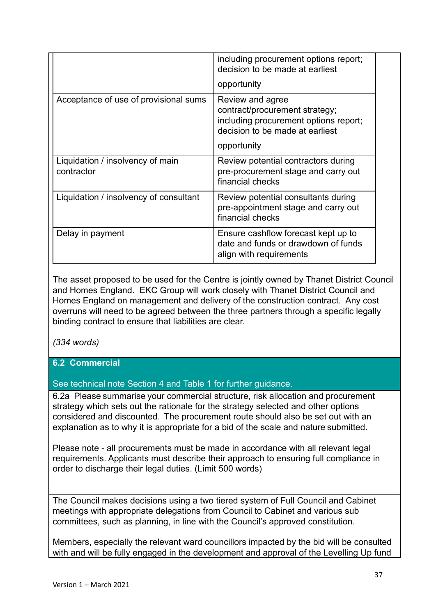|                                                | including procurement options report;<br>decision to be made at earliest                                                       |
|------------------------------------------------|--------------------------------------------------------------------------------------------------------------------------------|
|                                                | opportunity                                                                                                                    |
| Acceptance of use of provisional sums          | Review and agree<br>contract/procurement strategy;<br>including procurement options report;<br>decision to be made at earliest |
|                                                | opportunity                                                                                                                    |
| Liquidation / insolvency of main<br>contractor | Review potential contractors during<br>pre-procurement stage and carry out<br>financial checks                                 |
| Liquidation / insolvency of consultant         | Review potential consultants during<br>pre-appointment stage and carry out<br>financial checks                                 |
| Delay in payment                               | Ensure cashflow forecast kept up to<br>date and funds or drawdown of funds<br>align with requirements                          |

The asset proposed to be used for the Centre is jointly owned by Thanet District Council and Homes England. EKC Group will work closely with Thanet District Council and Homes England on management and delivery of the construction contract. Any cost overruns will need to be agreed between the three partners through a specific legally binding contract to ensure that liabilities are clear.

*(334 words)*

### **6.2 Commercial**

See technical note Section 4 and Table 1 for further guidance.

6.2a Please summarise your commercial structure, risk allocation and procurement strategy which sets out the rationale for the strategy selected and other options considered and discounted. The procurement route should also be set out with an explanation as to why it is appropriate for a bid of the scale and nature submitted.

Please note - all procurements must be made in accordance with all relevant legal requirements. Applicants must describe their approach to ensuring full compliance in order to discharge their legal duties. (Limit 500 words)

The Council makes decisions using a two tiered system of Full Council and Cabinet meetings with appropriate delegations from Council to Cabinet and various sub committees, such as planning, in line with the Council's approved constitution.

Members, especially the relevant ward councillors impacted by the bid will be consulted with and will be fully engaged in the development and approval of the Levelling Up fund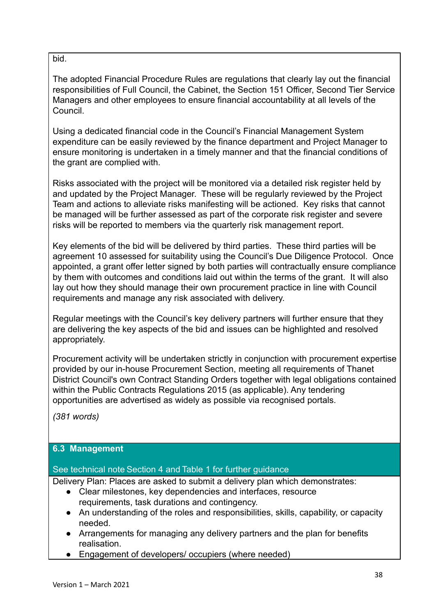#### bid.

The adopted Financial Procedure Rules are regulations that clearly lay out the financial responsibilities of Full Council, the Cabinet, the Section 151 Officer, Second Tier Service Managers and other employees to ensure financial accountability at all levels of the Council.

Using a dedicated financial code in the Council's Financial Management System expenditure can be easily reviewed by the finance department and Project Manager to ensure monitoring is undertaken in a timely manner and that the financial conditions of the grant are complied with.

Risks associated with the project will be monitored via a detailed risk register held by and updated by the Project Manager. These will be regularly reviewed by the Project Team and actions to alleviate risks manifesting will be actioned. Key risks that cannot be managed will be further assessed as part of the corporate risk register and severe risks will be reported to members via the quarterly risk management report.

Key elements of the bid will be delivered by third parties. These third parties will be agreement 10 assessed for suitability using the Council's Due Diligence Protocol. Once appointed, a grant offer letter signed by both parties will contractually ensure compliance by them with outcomes and conditions laid out within the terms of the grant. It will also lay out how they should manage their own procurement practice in line with Council requirements and manage any risk associated with delivery.

Regular meetings with the Council's key delivery partners will further ensure that they are delivering the key aspects of the bid and issues can be highlighted and resolved appropriately.

Procurement activity will be undertaken strictly in conjunction with procurement expertise provided by our in-house Procurement Section, meeting all requirements of Thanet District Council's own Contract Standing Orders together with legal obligations contained within the Public Contracts Regulations 2015 (as applicable). Any tendering opportunities are advertised as widely as possible via recognised portals.

*(381 words)*

#### **6.3 Management**

#### See technical note Section 4 and Table 1 for further guidance

Delivery Plan: Places are asked to submit a delivery plan which demonstrates:

- Clear milestones, key dependencies and interfaces, resource requirements, task durations and contingency.
- An understanding of the roles and responsibilities, skills, capability, or capacity needed.
- Arrangements for managing any delivery partners and the plan for benefits realisation.
- Engagement of developers/ occupiers (where needed)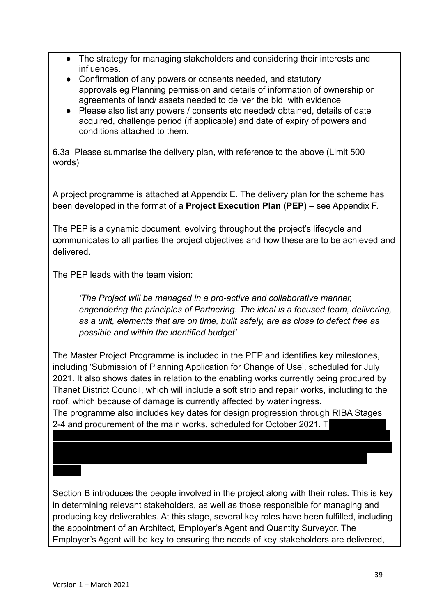- The strategy for managing stakeholders and considering their interests and influences.
- Confirmation of any powers or consents needed, and statutory approvals eg Planning permission and details of information of ownership or agreements of land/ assets needed to deliver the bid with evidence
- Please also list any powers / consents etc needed/ obtained, details of date acquired, challenge period (if applicable) and date of expiry of powers and conditions attached to them.

6.3a Please summarise the delivery plan, with reference to the above (Limit 500 words)

A project programme is attached at Appendix E. The delivery plan for the scheme has been developed in the format of a **Project Execution Plan (PEP) –** see Appendix F.

The PEP is a dynamic document, evolving throughout the project's lifecycle and communicates to all parties the project objectives and how these are to be achieved and delivered.

The PEP leads with the team vision:

*'The Project will be managed in a pro-active and collaborative manner, engendering the principles of Partnering. The ideal is a focused team, delivering, as a unit, elements that are on time, built safely, are as close to defect free as possible and within the identified budget'*

The Master Project Programme is included in the PEP and identifies key milestones, including 'Submission of Planning Application for Change of Use', scheduled for July 2021. It also shows dates in relation to the enabling works currently being procured by Thanet District Council, which will include a soft strip and repair works, including to the roof, which because of damage is currently affected by water ingress.

The programme also includes key dates for design progression through RIBA Stages 2-4 and procurement of the main works, scheduled for October 2021. The main works and main works and main works

will be procured on a two-stage Design & Build basis. This facilitates early engagement

which will aid buildability, de-risk the project and ultimately deliver better value for

Section B introduces the people involved in the project along with their roles. This is key in determining relevant stakeholders, as well as those responsible for managing and producing key deliverables. At this stage, several key roles have been fulfilled, including the appointment of an Architect, Employer's Agent and Quantity Surveyor. The Employer's Agent will be key to ensuring the needs of key stakeholders are delivered,

money.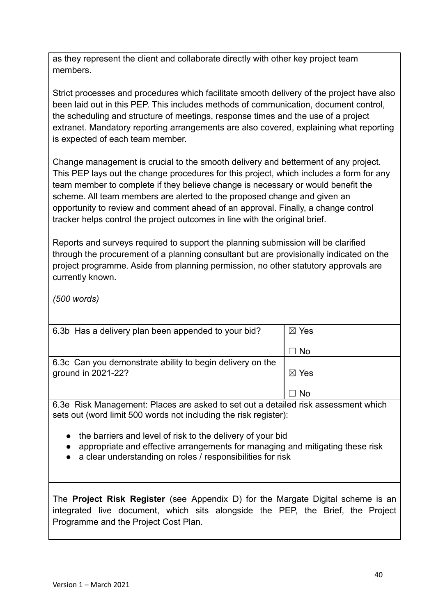as they represent the client and collaborate directly with other key project team members.

Strict processes and procedures which facilitate smooth delivery of the project have also been laid out in this PEP. This includes methods of communication, document control, the scheduling and structure of meetings, response times and the use of a project extranet. Mandatory reporting arrangements are also covered, explaining what reporting is expected of each team member.

Change management is crucial to the smooth delivery and betterment of any project. This PEP lays out the change procedures for this project, which includes a form for any team member to complete if they believe change is necessary or would benefit the scheme. All team members are alerted to the proposed change and given an opportunity to review and comment ahead of an approval. Finally, a change control tracker helps control the project outcomes in line with the original brief.

Reports and surveys required to support the planning submission will be clarified through the procurement of a planning consultant but are provisionally indicated on the project programme. Aside from planning permission, no other statutory approvals are currently known.

*(500 words)*

| $\boxtimes$ Yes |
|-----------------|
| ∐ No            |
|                 |
|                 |
| $\boxtimes$ Yes |
|                 |
| . No            |
|                 |

6.3e Risk Management: Places are asked to set out a detailed risk assessment which sets out (word limit 500 words not including the risk register):

- the barriers and level of risk to the delivery of your bid
- appropriate and effective arrangements for managing and mitigating these risk
- a clear understanding on roles / responsibilities for risk

The **Project Risk Register** (see Appendix D) for the Margate Digital scheme is an integrated live document, which sits alongside the PEP, the Brief, the Project Programme and the Project Cost Plan.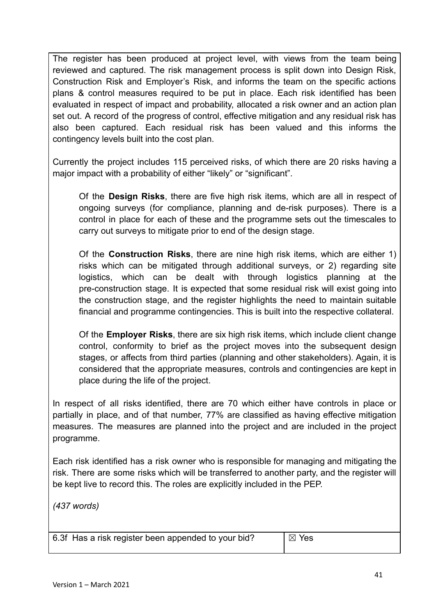The register has been produced at project level, with views from the team being reviewed and captured. The risk management process is split down into Design Risk, Construction Risk and Employer's Risk, and informs the team on the specific actions plans & control measures required to be put in place. Each risk identified has been evaluated in respect of impact and probability, allocated a risk owner and an action plan set out. A record of the progress of control, effective mitigation and any residual risk has also been captured. Each residual risk has been valued and this informs the contingency levels built into the cost plan.

Currently the project includes 115 perceived risks, of which there are 20 risks having a major impact with a probability of either "likely" or "significant".

Of the **Design Risks**, there are five high risk items, which are all in respect of ongoing surveys (for compliance, planning and de-risk purposes). There is a control in place for each of these and the programme sets out the timescales to carry out surveys to mitigate prior to end of the design stage.

Of the **Construction Risks**, there are nine high risk items, which are either 1) risks which can be mitigated through additional surveys, or 2) regarding site logistics, which can be dealt with through logistics planning at the pre-construction stage. It is expected that some residual risk will exist going into the construction stage, and the register highlights the need to maintain suitable financial and programme contingencies. This is built into the respective collateral.

Of the **Employer Risks**, there are six high risk items, which include client change control, conformity to brief as the project moves into the subsequent design stages, or affects from third parties (planning and other stakeholders). Again, it is considered that the appropriate measures, controls and contingencies are kept in place during the life of the project.

In respect of all risks identified, there are 70 which either have controls in place or partially in place, and of that number, 77% are classified as having effective mitigation measures. The measures are planned into the project and are included in the project programme.

Each risk identified has a risk owner who is responsible for managing and mitigating the risk. There are some risks which will be transferred to another party, and the register will be kept live to record this. The roles are explicitly included in the PEP.

*(437 words)*

6.3f Has a risk register been appended to your bid?  $\Box$  Yes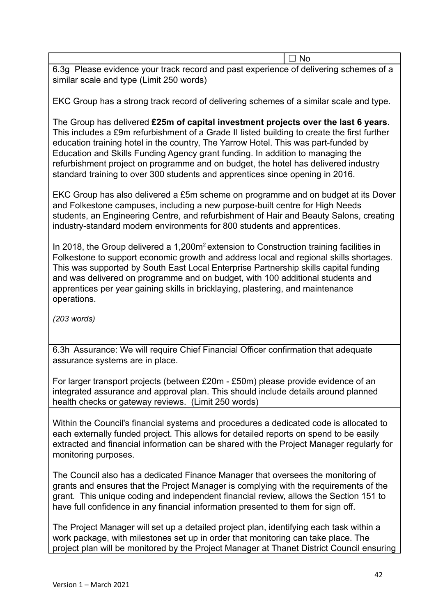|                                                                                       | $\Box$ No |
|---------------------------------------------------------------------------------------|-----------|
| 6.3g Please evidence your track record and past experience of delivering schemes of a |           |
| similar scale and type (Limit 250 words)                                              |           |

EKC Group has a strong track record of delivering schemes of a similar scale and type.

The Group has delivered **£25m of capital investment projects over the last 6 years**. This includes a £9m refurbishment of a Grade II listed building to create the first further education training hotel in the country, The Yarrow Hotel. This was part-funded by Education and Skills Funding Agency grant funding. In addition to managing the refurbishment project on programme and on budget, the hotel has delivered industry standard training to over 300 students and apprentices since opening in 2016.

EKC Group has also delivered a £5m scheme on programme and on budget at its Dover and Folkestone campuses, including a new purpose-built centre for High Needs students, an Engineering Centre, and refurbishment of Hair and Beauty Salons, creating industry-standard modern environments for 800 students and apprentices.

In 2018, the Group delivered a 1,200m<sup>2</sup> extension to Construction training facilities in Folkestone to support economic growth and address local and regional skills shortages. This was supported by South East Local Enterprise Partnership skills capital funding and was delivered on programme and on budget, with 100 additional students and apprentices per year gaining skills in bricklaying, plastering, and maintenance operations.

*(203 words)*

6.3h Assurance: We will require Chief Financial Officer confirmation that adequate assurance systems are in place.

For larger transport projects (between £20m - £50m) please provide evidence of an integrated assurance and approval plan. This should include details around planned health checks or gateway reviews. (Limit 250 words)

Within the Council's financial systems and procedures a dedicated code is allocated to each externally funded project. This allows for detailed reports on spend to be easily extracted and financial information can be shared with the Project Manager regularly for monitoring purposes.

The Council also has a dedicated Finance Manager that oversees the monitoring of grants and ensures that the Project Manager is complying with the requirements of the grant. This unique coding and independent financial review, allows the Section 151 to have full confidence in any financial information presented to them for sign off.

The Project Manager will set up a detailed project plan, identifying each task within a work package, with milestones set up in order that monitoring can take place. The project plan will be monitored by the Project Manager at Thanet District Council ensuring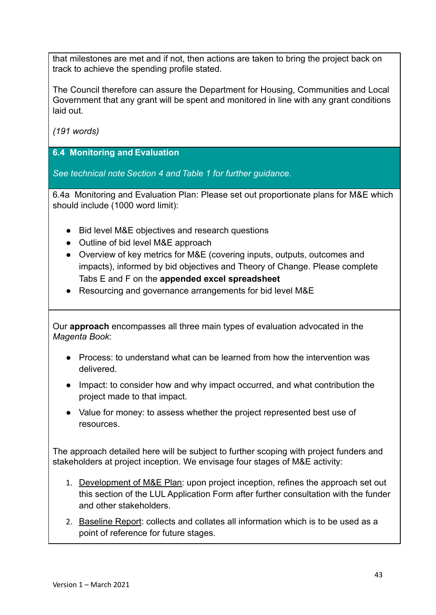that milestones are met and if not, then actions are taken to bring the project back on track to achieve the spending profile stated.

The Council therefore can assure the Department for Housing, Communities and Local Government that any grant will be spent and monitored in line with any grant conditions laid out.

*(191 words)*

**6.4 Monitoring and Evaluation**

*See technical note Section 4 and Table 1 for further guidance*.

6.4a Monitoring and Evaluation Plan: Please set out proportionate plans for M&E which should include (1000 word limit):

- Bid level M&E objectives and research questions
- Outline of bid level M&E approach
- Overview of key metrics for M&E (covering inputs, outputs, outcomes and impacts), informed by bid objectives and Theory of Change. Please complete Tabs E and F on the **appended excel spreadsheet**
- Resourcing and governance arrangements for bid level M&E

Our **approach** encompasses all three main types of evaluation advocated in the *Magenta Book*:

- Process: to understand what can be learned from how the intervention was delivered.
- Impact: to consider how and why impact occurred, and what contribution the project made to that impact.
- Value for money: to assess whether the project represented best use of resources.

The approach detailed here will be subject to further scoping with project funders and stakeholders at project inception. We envisage four stages of M&E activity:

- 1. Development of M&E Plan: upon project inception, refines the approach set out this section of the LUL Application Form after further consultation with the funder and other stakeholders.
- 2. Baseline Report: collects and collates all information which is to be used as a point of reference for future stages.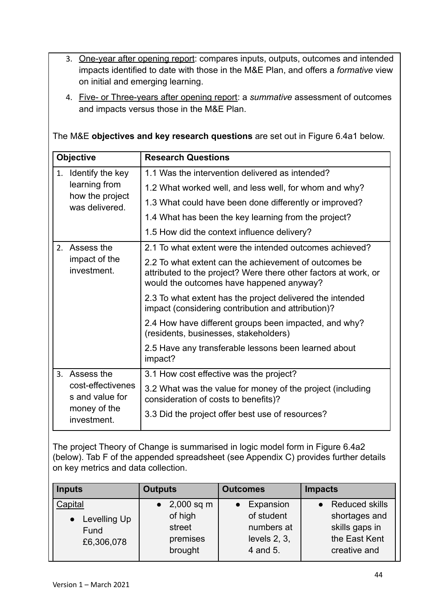- 3. One-year after opening report: compares inputs, outputs, outcomes and intended impacts identified to date with those in the M&E Plan, and offers a *formative* view on initial and emerging learning.
- 4. Five- or Three-years after opening report: a *summative* assessment of outcomes and impacts versus those in the M&E Plan.

The M&E **objectives and key research questions** are set out in Figure 6.4a1 below.

| <b>Objective</b>                     | <b>Research Questions</b>                                                                                                                                            |  |  |
|--------------------------------------|----------------------------------------------------------------------------------------------------------------------------------------------------------------------|--|--|
| 1. Identify the key                  | 1.1 Was the intervention delivered as intended?                                                                                                                      |  |  |
| learning from                        | 1.2 What worked well, and less well, for whom and why?                                                                                                               |  |  |
| how the project<br>was delivered.    | 1.3 What could have been done differently or improved?                                                                                                               |  |  |
|                                      | 1.4 What has been the key learning from the project?                                                                                                                 |  |  |
|                                      | 1.5 How did the context influence delivery?                                                                                                                          |  |  |
| 2. Assess the                        | 2.1 To what extent were the intended outcomes achieved?                                                                                                              |  |  |
| impact of the<br>investment.         | 2.2 To what extent can the achievement of outcomes be<br>attributed to the project? Were there other factors at work, or<br>would the outcomes have happened anyway? |  |  |
|                                      | 2.3 To what extent has the project delivered the intended<br>impact (considering contribution and attribution)?                                                      |  |  |
|                                      | 2.4 How have different groups been impacted, and why?<br>(residents, businesses, stakeholders)                                                                       |  |  |
|                                      | 2.5 Have any transferable lessons been learned about<br>impact?                                                                                                      |  |  |
| Assess the<br>$\mathbf{3}$           | 3.1 How cost effective was the project?                                                                                                                              |  |  |
| cost-effectivenes<br>s and value for | 3.2 What was the value for money of the project (including<br>consideration of costs to benefits)?                                                                   |  |  |
| money of the<br>investment.          | 3.3 Did the project offer best use of resources?                                                                                                                     |  |  |

The project Theory of Change is summarised in logic model form in Figure 6.4a2 (below). Tab F of the appended spreadsheet (see Appendix C) provides further details on key metrics and data collection.

| <b>Inputs</b>                                   | <b>Outputs</b>                           | <b>Outcomes</b>                                         | <b>Impacts</b>                                                   |
|-------------------------------------------------|------------------------------------------|---------------------------------------------------------|------------------------------------------------------------------|
| Capital                                         | • $2,000$ sq m                           | Expansion                                               | <b>Reduced skills</b>                                            |
| Levelling Up<br>$\bullet$<br>Fund<br>£6,306,078 | of high<br>street<br>premises<br>brought | of student<br>numbers at<br>levels $2, 3$ ,<br>4 and 5. | shortages and<br>skills gaps in<br>the East Kent<br>creative and |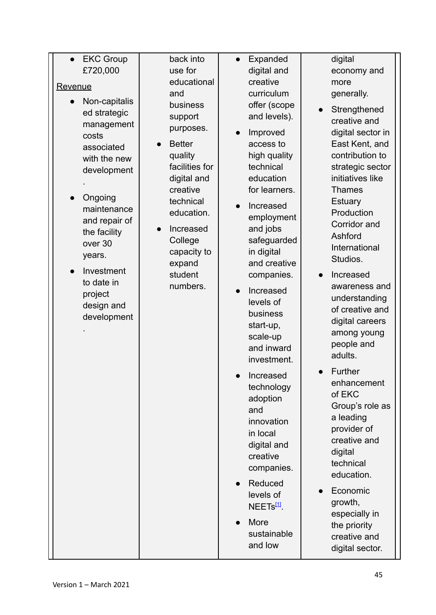| <b>EKC Group</b>                                                                                                                                                                                                                                                        | back into                                                                                                                                                                                                                          | Expanded                                                                                                                                                                                                                                                                                                                                                                                                                                                                                                                                                             | digital                                                                                                                                                                                                                                                                                                                                                                                                                                                                                                                                                                                                                        |
|-------------------------------------------------------------------------------------------------------------------------------------------------------------------------------------------------------------------------------------------------------------------------|------------------------------------------------------------------------------------------------------------------------------------------------------------------------------------------------------------------------------------|----------------------------------------------------------------------------------------------------------------------------------------------------------------------------------------------------------------------------------------------------------------------------------------------------------------------------------------------------------------------------------------------------------------------------------------------------------------------------------------------------------------------------------------------------------------------|--------------------------------------------------------------------------------------------------------------------------------------------------------------------------------------------------------------------------------------------------------------------------------------------------------------------------------------------------------------------------------------------------------------------------------------------------------------------------------------------------------------------------------------------------------------------------------------------------------------------------------|
| £720,000                                                                                                                                                                                                                                                                | use for                                                                                                                                                                                                                            | digital and                                                                                                                                                                                                                                                                                                                                                                                                                                                                                                                                                          | economy and                                                                                                                                                                                                                                                                                                                                                                                                                                                                                                                                                                                                                    |
| <b>Revenue</b><br>Non-capitalis<br>ed strategic<br>management<br>costs<br>associated<br>with the new<br>development<br>Ongoing<br>maintenance<br>and repair of<br>the facility<br>over 30<br>years.<br>Investment<br>to date in<br>project<br>design and<br>development | educational<br>and<br>business<br>support<br>purposes.<br><b>Better</b><br>quality<br>facilities for<br>digital and<br>creative<br>technical<br>education.<br>Increased<br>College<br>capacity to<br>expand<br>student<br>numbers. | creative<br>curriculum<br>offer (scope<br>and levels).<br>Improved<br>access to<br>high quality<br>technical<br>education<br>for learners.<br>Increased<br>employment<br>and jobs<br>safeguarded<br>in digital<br>and creative<br>companies.<br>Increased<br>levels of<br>business<br>start-up,<br>scale-up<br>and inward<br>investment.<br>Increased<br>technology<br>adoption<br>and<br>innovation<br>in local<br>digital and<br>creative<br>companies.<br>Reduced<br>levels of<br>NEET <sub>S<sup>[1]</sup>.</sub><br>More<br>$\bullet$<br>sustainable<br>and low | more<br>generally.<br>Strengthened<br>creative and<br>digital sector in<br>East Kent, and<br>contribution to<br>strategic sector<br>initiatives like<br><b>Thames</b><br><b>Estuary</b><br>Production<br>Corridor and<br>Ashford<br>International<br>Studios.<br>Increased<br>awareness and<br>understanding<br>of creative and<br>digital careers<br>among young<br>people and<br>adults.<br>Further<br>enhancement<br>of EKC<br>Group's role as<br>a leading<br>provider of<br>creative and<br>digital<br>technical<br>education.<br>Economic<br>growth,<br>especially in<br>the priority<br>creative and<br>digital sector. |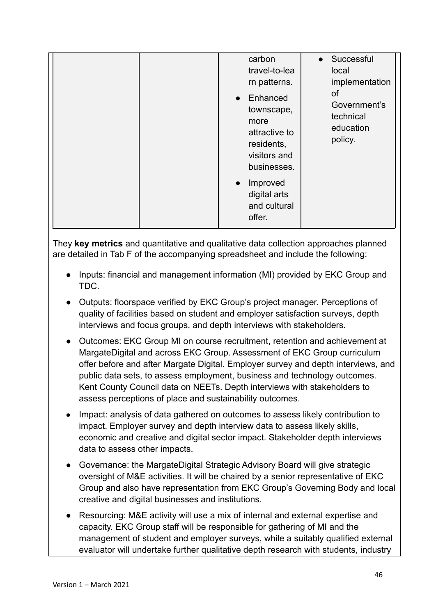| carbon<br>travel-to-lea<br>rn patterns.                                                                   | Successful<br>$\bullet$<br>local<br>implementation      |
|-----------------------------------------------------------------------------------------------------------|---------------------------------------------------------|
| Enhanced<br>$\bullet$<br>townscape,<br>more<br>attractive to<br>residents,<br>visitors and<br>businesses. | 0f<br>Government's<br>technical<br>education<br>policy. |
| Improved<br>$\bullet$<br>digital arts<br>and cultural<br>offer.                                           |                                                         |

They **key metrics** and quantitative and qualitative data collection approaches planned are detailed in Tab F of the accompanying spreadsheet and include the following:

- Inputs: financial and management information (MI) provided by EKC Group and TDC.
- Outputs: floorspace verified by EKC Group's project manager. Perceptions of quality of facilities based on student and employer satisfaction surveys, depth interviews and focus groups, and depth interviews with stakeholders.
- Outcomes: EKC Group MI on course recruitment, retention and achievement at MargateDigital and across EKC Group. Assessment of EKC Group curriculum offer before and after Margate Digital. Employer survey and depth interviews, and public data sets, to assess employment, business and technology outcomes. Kent County Council data on NEETs. Depth interviews with stakeholders to assess perceptions of place and sustainability outcomes.
- **●** Impact: analysis of data gathered on outcomes to assess likely contribution to impact. Employer survey and depth interview data to assess likely skills, economic and creative and digital sector impact. Stakeholder depth interviews data to assess other impacts.
- Governance: the MargateDigital Strategic Advisory Board will give strategic oversight of M&E activities. It will be chaired by a senior representative of EKC Group and also have representation from EKC Group's Governing Body and local creative and digital businesses and institutions.
- Resourcing: M&E activity will use a mix of internal and external expertise and capacity. EKC Group staff will be responsible for gathering of MI and the management of student and employer surveys, while a suitably qualified external evaluator will undertake further qualitative depth research with students, industry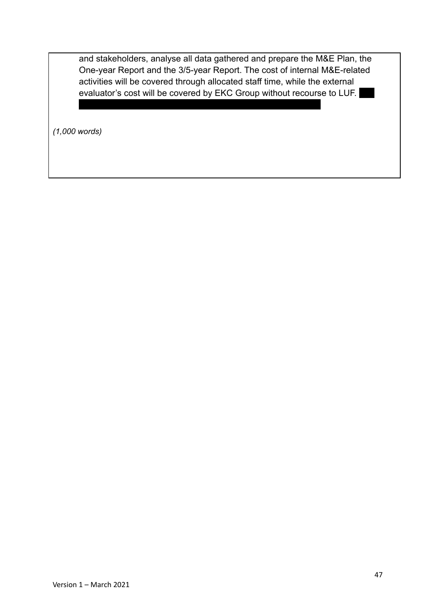and stakeholders, analyse all data gathered and prepare the M&E Plan, the One-year Report and the 3/5-year Report. The cost of internal M&E-related activities will be covered through allocated staff time, while the external evaluator's cost will be covered by EKC Group without recourse to LUF. estimated cost of the latter is £36,000 over the project lifetime.

*(1,000 words)*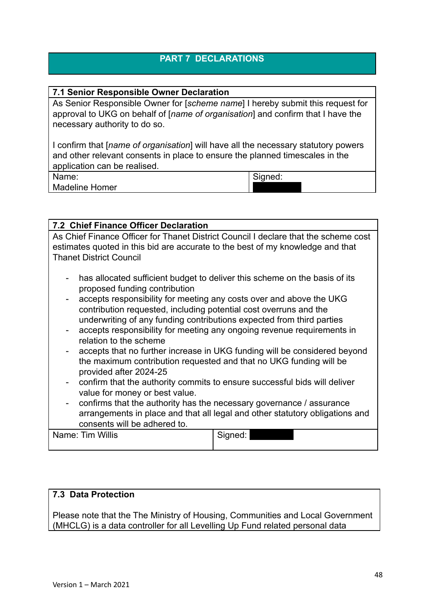## **PART 7 DECLARATIONS**

#### **7.1 Senior Responsible Owner Declaration**

As Senior Responsible Owner for [*scheme name*] I hereby submit this request for approval to UKG on behalf of [*name of organisation*] and confirm that I have the necessary authority to do so.

I confirm that [*name of organisation*] will have all the necessary statutory powers and other relevant consents in place to ensure the planned timescales in the application can be realised.

Name: Madeline Homer

**X04: DECLARATIONS**

Signed: REDACTED

| <b>7.2 Chief Finance Officer Declaration</b>                                                                                                                                                                                                                                                                                                                                                                                                                                                     |
|--------------------------------------------------------------------------------------------------------------------------------------------------------------------------------------------------------------------------------------------------------------------------------------------------------------------------------------------------------------------------------------------------------------------------------------------------------------------------------------------------|
| As Chief Finance Officer for Thanet District Council I declare that the scheme cost<br>estimates quoted in this bid are accurate to the best of my knowledge and that<br><b>Thanet District Council</b>                                                                                                                                                                                                                                                                                          |
| has allocated sufficient budget to deliver this scheme on the basis of its<br>$\overline{\phantom{a}}$<br>proposed funding contribution<br>accepts responsibility for meeting any costs over and above the UKG<br>$\qquad \qquad \blacksquare$<br>contribution requested, including potential cost overruns and the<br>underwriting of any funding contributions expected from third parties<br>accepts responsibility for meeting any ongoing revenue requirements in<br>relation to the scheme |
| accepts that no further increase in UKG funding will be considered beyond<br>$\blacksquare$<br>the maximum contribution requested and that no UKG funding will be<br>provided after 2024-25<br>confirm that the authority commits to ensure successful bids will deliver<br>value for money or best value.                                                                                                                                                                                       |

- confirms that the authority has the necessary governance / assurance arrangements in place and that all legal and other statutory obligations and consents will be adhered to.

| Name: Tim Willis | Signed: |
|------------------|---------|
|                  |         |

#### **7.3 Data Protection**

Please note that the The Ministry of Housing, Communities and Local Government (MHCLG) is a data controller for all Levelling Up Fund related personal data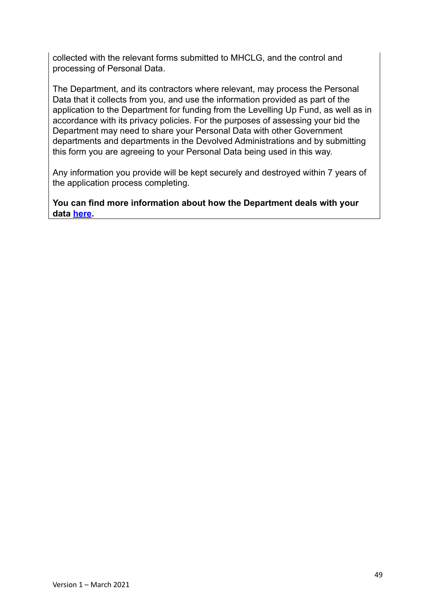collected with the relevant forms submitted to MHCLG, and the control and processing of Personal Data.

The Department, and its contractors where relevant, may process the Personal Data that it collects from you, and use the information provided as part of the application to the Department for funding from the Levelling Up Fund, as well as in accordance with its privacy policies. For the purposes of assessing your bid the Department may need to share your Personal Data with other Government departments and departments in the Devolved Administrations and by submitting this form you are agreeing to your Personal Data being used in this way.

Any information you provide will be kept securely and destroyed within 7 years of the application process completing.

**You can find more information about how the Department deals with your data [here](https://www.gov.uk/government/publications/levelling-up-fund-additional-documents).**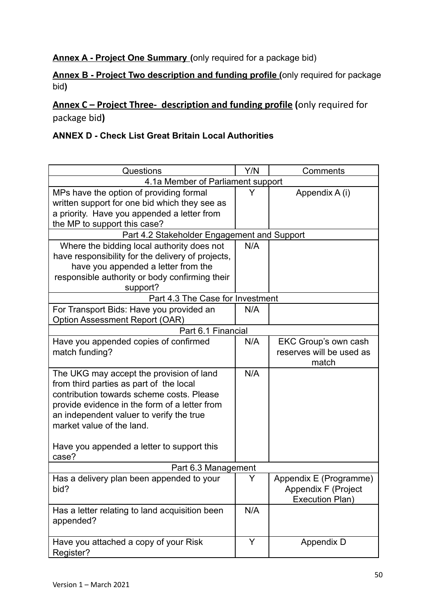## **Annex A - Project One Summary (**only required for a package bid)

### **Annex B - Project Two description and funding profile (**only required for package bid**)**

## **Annex C – Project Three- description and funding profile (**only required for package bid**)**

#### **ANNEX D - Check List Great Britain Local Authorities**

| Questions                                         |     | Comments                 |  |  |
|---------------------------------------------------|-----|--------------------------|--|--|
| 4.1a Member of Parliament support                 |     |                          |  |  |
| MPs have the option of providing formal           | Y   | Appendix A (i)           |  |  |
| written support for one bid which they see as     |     |                          |  |  |
| a priority. Have you appended a letter from       |     |                          |  |  |
| the MP to support this case?                      |     |                          |  |  |
| Part 4.2 Stakeholder Engagement and Support       |     |                          |  |  |
| Where the bidding local authority does not        | N/A |                          |  |  |
| have responsibility for the delivery of projects, |     |                          |  |  |
| have you appended a letter from the               |     |                          |  |  |
| responsible authority or body confirming their    |     |                          |  |  |
| support?                                          |     |                          |  |  |
| Part 4.3 The Case for Investment                  |     |                          |  |  |
| For Transport Bids: Have you provided an          | N/A |                          |  |  |
| Option Assessment Report (OAR)                    |     |                          |  |  |
| Part 6.1 Financial                                |     |                          |  |  |
| Have you appended copies of confirmed             | N/A | EKC Group's own cash     |  |  |
| match funding?                                    |     | reserves will be used as |  |  |
|                                                   |     | match                    |  |  |
| The UKG may accept the provision of land          | N/A |                          |  |  |
| from third parties as part of the local           |     |                          |  |  |
| contribution towards scheme costs. Please         |     |                          |  |  |
| provide evidence in the form of a letter from     |     |                          |  |  |
| an independent valuer to verify the true          |     |                          |  |  |
| market value of the land.                         |     |                          |  |  |
|                                                   |     |                          |  |  |
| Have you appended a letter to support this        |     |                          |  |  |
| case?                                             |     |                          |  |  |
| Part 6.3 Management                               |     |                          |  |  |
| Has a delivery plan been appended to your         | Y   | Appendix E (Programme)   |  |  |
| bid?                                              |     | Appendix F (Project      |  |  |
|                                                   |     | Execution Plan)          |  |  |
| Has a letter relating to land acquisition been    | N/A |                          |  |  |
| appended?                                         |     |                          |  |  |
|                                                   |     |                          |  |  |
| Have you attached a copy of your Risk             | Y   | Appendix D               |  |  |
| Register?                                         |     |                          |  |  |